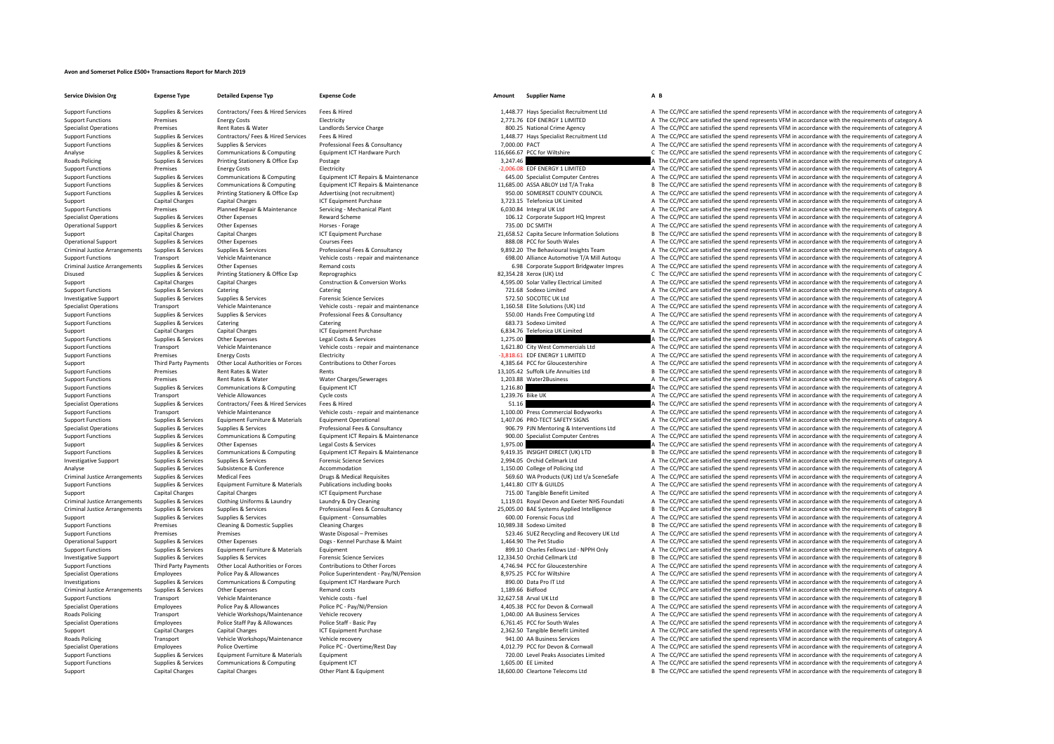## **Avon and Somerset Police £500+ Transactions Report for March 2019**

**Service Division Org Expense Type Detailed Expense Typ Expense Code Amount Supplier Name A B**

Supplies & Services Contractors/ Fees & Hired Services Fees & Hired Hired Contractors Fees & Hired Services Fees & Hired Hired Manual A48.77 Hays Specialist Recruitment Ltd A The CC/PCC are satisfied the spend represents V

## Support Functions Premises Energy Costs Energy Costs Electricity Electricity Electricity 2,771.76 EDF ENERGY 1 LIMITED A The CC/PCC are satisfied the spend represents VFM in accordance with the requirements of category A T Rent Rates & Water Landlords Service Charge Crime and Special Crime Agency A The CC/PCC are satisfied the spend represents VFM in accordance with the requirements of category A The Crime A The CC/PCC are satisfied the spen Support Functions Supplies & Services Contractors/Fees & Hired Services Fees & Hired Expansion of the CONCERT MANALLER CONTRACTED A THE COROC are satisfied the spend represents VFM in accordance with the requirements of ca Support Functions Supplies & Services Supplies & Services Professional Fees & Consultancy Professional Fees & Consultancy 7,000.00 PACT A The CC/PCC are satisfied the spend represents VFM in accordance with the requirement Analyse Supplies & Services Communications & Computing Equipment ICT Hardware Purch 116,666.67 PCC for Wiltshire C The CC/PCC are satisfied the spend represents VFM in accordance with the requirements of category C Roads Policing Supplies & Services Printing Stationery & Office Exp Postage Protage 3,247.46 A The CC/PCC are satisfied the spend represents VFM in accordance with the requirements of category A The CC/PCC are satisfied th Support Functions Premises Energy Costs Electricity Electricity Electricity Electricity Electricity Electricity Electricity Electricity Electricity energy and the spend represents VFM in accordance with the requirements of Support Functions Supplies & Services Communications & Computing Equipment ICT Repairs & Maintenance 645.00 Specialist Computer Centres A The CC/PCC are satisfied the spend represents VFM in accordance with the requirement Support Functions Supplies & Services Communications & Computing Equipment ICT Repairs & Maintenance and the state of the COPCC are satisfied the spend represents VFM in accordance with the requirements of category B<br>Suppo A The CC/PCC are satisfied the spend represents VFM in accordance with the requirements of category A Support Capital Charges Capital Charges Capital Charges ICT Equipment Purchase ICT Equipment Purchase 3,723.15 Telefonica UK Limited A The CC/PCC are satisfied the spend represents VFM in accordance with the requirements o Support Functions Premises Planned Repair & Maintenance Servicing - Mechanical Plant 6,030.84 Integral UK Ltd A The CC/PCC are satisfied the spend represents VFM in accordance with the requirements of category A The Crimin Specialist Operations Support October 2006. The CC/PCC are satisfied the spend represents VFM in accordance with the requirements of category A The Services A The CC/PCC are satisfied the spend represents VFM in accordance Operational Support Supplies & Services Other Expenses Horses - Forage Horses - Forage Horses - Forage 135.00 DC SMITH A The CC/PCC are satisfied the spend represents VFM in accordance with the requirements of category A S Support Capital Charges Capital Charges Capital Charges ICT Equipment Purchase 21,658.52 Capita Secure Information Solutions B The CC/PCC are satisfied the spend represents VFM in accordance with the requirements of catego Operational Support Supplies & Services Other Expenses Courses Fees Courses Fees Courses Fees 888.08 PCC for South Wales A The CC/PCC are satisfied the spend represents VFM in accordance with the requirements of category A Criminal Justice Arrangements Supplies & Services Supplies & Services Professional Fees & Consultancy Professional Fees & Consultancy and the Supplies are professional Fees & Consultancy and the Support Public osts - repai Transport Vehicle Maintenance Vehicle costs - repair and maintenance vehicle costs - repair and maintenance vehicle costs - repair and maintenance of the CONCE of Maintenance of the COPCC are satisfied the spend represents A The CC/PCC are satisfied the spend represents VFM in accordance with the requirements of category A Disused Supplies & Services Printing Stationery & Office Exp Reprographics Reprographics and Station Reprographics 82,354.28 Xerox (UK) Ltd Support C The CC/PCC are satisfied the spend represents VFM in accordance with the Support Capital Charges Capital Charges Capital Charges Construction & Conversion Works 4,595.00 Solar Valley Electrical Limited A The CC/PCC are satisfied the spend represents VFM in accordance with the requirements of ca Support Functions Supplies & Services Catering Catering Catering Catering Catering Catering Catering Catering Catering Catering a The CC/PCC are satisfied the spend represents VFM in accordance with the requirements of cat Investigative Support Support Support Support Support Support Supplies Services Supplies & Services Supplies & Services Forencic Science Services Supplies & Services Forencic Science Services 572.50 SOCOTEC UK Ltd A The CC Specialist Operations Transport Vehicle Maintenance Vehicle costs - repair and maintenance Vehicle costs - repair and maintenance Vehicle costs - repair and maintenance 1,160.58 Elite Solutions (UK) Ltd A The CC/PCC are sa Support Functions Supplies & Services Supplies & Services Professional Fees & Consultancy Professional Fees & Consultancy Support Functions A The CC/PCC are satisfied the spend represents VFM in accordance with the require Supplies & Services Catering Catering Catering Catering Catering Catering Catering Catering Catering Catering Catering Catering Catering Catering and the Same Catering Catering Catering Catering Catering and the spend repr Support Capital Charges Capital Charges Capital Charges ICT Equipment Purchase 6,834.76 Telefonica UK Limited A The CC/PCC are satisfied the spend represents VFM in accordance with the requirements of category A Support Functions Supplies & Services Other Expenses Legal Costs & Services 1,275.00 A The CC/PCC are satisfied the spend represents VFM in accordance with the requirements of category A Support Functions Transport Vehicle Maintenance Vehicle costs - repair and maintenance Vehicle costs - repair and maintenance 1,621.80 City West Commercials Ltd A The CC/PCC are satisfied the spend represents VFM in accord Electricity Electricity **Electricity** – 3,818.61 EDF ENERGY 1 LIMITED A The CC/PCC are satisfied the spend represents VFM in accordance with the requirements of category A The CC/PCC are satisfied the spend represents VFM Support Third Party Payments Other I ocal Authorities or Forces Contributions to Other Forces Contributions of Other Forces and the matery of the Contributions to Other Forces and the State of Giovannam and the CONCLATES A Support Functions Premises Rent Rates & Water Rents Rents Rents Rents Rents Rents Rents Rents 2009 Rents Rents Rent Rents Rents Rents Rents Rents Rent Rents Rents Rents Rents Rents Rents Rents 13,105.42 Suffolk Life Annuit Support Functions Premises A The CC/PCC are satisfied the spend represents VFM in accordance with the requirements of category A The CC/PCC are satisfied the spend represents VFM in accordance with the requirements of cate Support Functions Supplies & Services Communications & Computing Foundment ICT Computer Computing Computing Computing Foundment ICT 1,216.80 A The CC/PCC are satisfied the spend represents VFM in accordance with the requir Support Transport Vehicle Allowances Cycle costs Cycle costs Cycle costs and the COST Cycle costs 1,239.76 Bike UK A The CC/PCC are satisfied the spend represents VFM in accordance with the requirements of category A The C S1.16 **A** The CC/PCC are satisfied the spend represents VFM in accordance with the requirements of category A Support Functions Transport Vehicle Maintenance Vehicle costs ‐ repair and maintenance 1,100.00 Press Commercial Bodyworks A The CC/PCC are satisfied the spend represents VFM in accordance with the requirements of category Support Functions Supplies & Services Equipment Furniture & Materials Equipment Operational 1,407.06 PRO‐TECT SAFETY SIGNS A The CC/PCC are satisfied the spend represents VFM in accordance with the requirements of category Specialist Operations Supplies & Services Supplies & Services Professional Fees & Consultancy Consultancy and the DOLOS PROGRATE DEALLY A The CC/PCC are satisfied the spend represents VFM in accordance with the requirement Supplies & Services Communications & Computing Equipment ICT Repairs & Maintenance 500.00 Specialist Computer Centres A The CC/PCC are satisfied the spend represents VFM in accordance with the requirements of category A Support Support Supported Other Expenses Legal Costs & Services Legal Costs & Services Legal Costs & Services 2,975.00 A The CC/PCC are satisfied the spend represents VFM in accordance with the requirements of category A Support Functions Supplies & Services Communications & Computing Foujoment ICT Renairs & Maintenance 9419.35 INSIGHT DIRECT (UK) LTD R The CC/PCC are satisfied the spend represents VEM in accordance with the requirements o Investigative Support Supplies & Services Supplies & Services Forensic Science Services Forensic Science Services Forensic Science Services Supplies & Services Supplies & Services Supplies & Services Accommodation A The CC Analyse Supplies and Supplies & Services Subsistence Subsistence Accommodation Accommodation Accommodation Analyse of Policing Ltd A The CC/PCC are satisfied the spend represents VFM in accordance with the requirements of Supplies & Services Medical Fees Medical Requisites COVID-10 March 2012 CHO COVID-10 COVID-10 March 2013 COVID-10 March 2013 COVID-10 March 2013 COVID-10 March 2013 Covid-10 March 2013 Covid-10 March 2014 OF COVID-10 March Support Functions Supplies & Services Equipment Furniture & Materials Publications including books 1,441.80 CITY & GUILDS A The CC/PCC are satisfied the spend represents VFM in accordance with the requirements of category Support Capital Charges Capital Charges Capital Charges ICT Equipment Purchase 120 15.00 Tangible Benefit Limited A The CC/PCC are satisfied the spend represents VFM in accordance with the requirements of category A The Cr Criminal Justice Arrangements Supplies & Services Clothing Uniforms & Laundry Laundry and David David David David David David David David David David David David David David David David David David David David David David Criminal lustice arrangements Sunnies & Services Sunnies & Services Professional Fees & Consultancy 25,005,00 RAE Systems Applied Intelligence R The CC/PCC are satisfied the spend represents VEM in accordance with the requ Support Supplies & Services Supplies & Services Fortions Equipment - Consumables Equipment - Consumables 600.00 Forensic Focus Ltd A The CC/PCC are satisfied the spend represents VFM in accordance with the requirements of Support Functions Premises Cleaning & Domestic Supplies Cleaning Charges Cleaning Charges Cleaning Charges Cleaning Charges 10,989.38 Sodexo Limited B The CC/PCC are satisfied the spend represents VFM in accordance with th Support Functions Premises Premises Premises Premises Waste Disposal – Premises Waste Disposal – Premises Premises Premises Premises Premises Premises Waste Disposal – Premises Statistics and Recovery UK Ltd A The CC/PCC a A The CC/PCC are satisfied the spend represents VFM in accordance with the requirements of category A Support Functions Supplies & Services Equipment Furniture & Materials Equipment Equipment Equipment Burniture & Materials Equipment Equipment Equipment Equipment and the services and the spend represents VFM in accordance Investigative Support Supplies & Services Supplies & Services Forensic Science Services Forensic Science Services 12,334.50 Orchid Cellmark Ltd B The CC/PCC are satisfied the spend represents VFM in accordance with the req Support Functions Third Party Payments Other Local Authorities or Forces Contributions to Other Forces Contributions to Other Forces and the CC Auto AUTA 4,746.94 PCC for Gloucestershire A The CC/PCC are satisfied the spen Specialist Operations Employees Police Pay & Allowances Police Superintendent - Pay/NI/Pension 8,975.25 PCC for Wiltshire A The CC/PCC are satisfied the spend represents VFM in accordance with the requirements of category Investigations Supplies & Services Communications & Computing Equipment ICT Hardware Purch 890.00 Data Pro IT Ltd A The CC/PCC are satisfied the spend represents VFM in accordance with the requirements of category A Criminal Justice Arrangements Supplies & Services Other Expenses Remand costs Remand costs Remand costs 1,189.66 Bidfood A The CC/PCC are satisfied the spend represents VFM in accordance with the requirements of category A Support Transport Vehicle Maintenance Vehicle costs – fuel vehicle costs – fuel vehicle costs – fuel are vehicle costs – fuel and the spend the spend represents VFM in accordance with the requirements of category B The CC/ Employees Police Pay & Allowances Police PC ‐ Pay/NI/Pension 4,405.38 PCC for Devon & Cornwall A The CC/PCC are satisfied the spend represents VFM in accordance with the requirements of category A Roads Policing Transport Vehicle Workshops/Maintenance Vehicle recovery 1,040.00 AA Business Services A The CC/PCC are satisfied the spend represents VFM in accordance with the requirements of category A Specialist Operations Employees Police Staff Pay & Allowances Police Staff - Basic Pay Police Staff Pay Bulle Staff Pay Bulle Staff Pay Police Staff Pay Bulle Staff Pay Bulle State Police Staff Pay 6,761.45 PCC for South W Support Capital Charges Capital Charges Capital Charges ICT Equipment Purchase 2,362.50 Tangible Benefit Limited A The CC/PCC are satisfied the spend represents VFM in accordance with the requirements of category A Roads Policing Transport Vehicle Workshops/Maintenance Vehicle recovery Police recovery 941.00 AA Business Services A The CC/PCC are satisfied the spend represents VFM in accordance with the requirements of category A The Specialist Operations Employees Police Overtime Police PC - Overtime/Rest Day Police PC - Overtime/Rest Day Police PC - Overtime/Rest Day A The CC/PCC are satisfied the spend represents VFM in accordance with the requireme Support Functions Supplies & Services Equipment Furniture & Materials Equipment 720.00 Level Peaks Associates Limited <sup>A</sup> The CC/PCC are satisfied the spend represents VFM in accordance with the requirements of category A Support Functions Supplies & Services Communications & Computing Equipment ICT Equipment CT 1,605.00 EE Limited A The CC/PCC are satisfied the spend represents VFM in accordance with the requirements of category B<br>Support Support Capital Charges Capital Charges Other Plant & Equipment Charges Other Plant B The CC/PCC are satisfied the spend represents VFM in accordance with the requirements of category B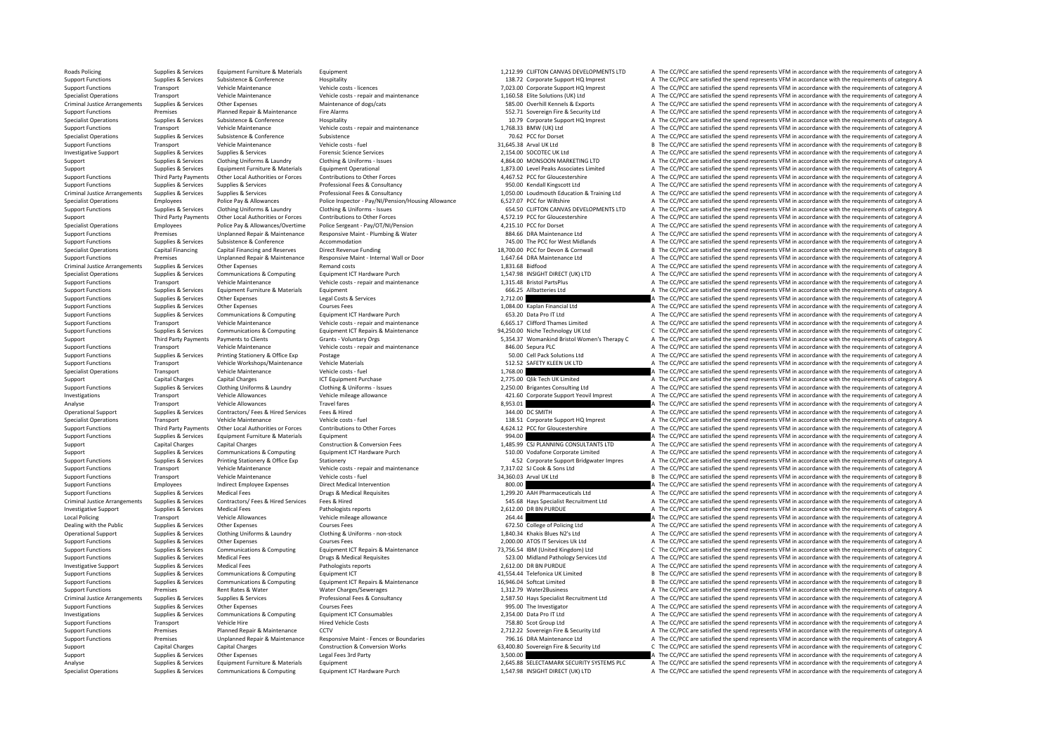Roads Policing Supplies & Services Equipment Furniture & Materials Equipment Equipment 1,212.99 CLIFTON CANVAS DEVELOPMENTS LTD A The CC/PCC are satisfied the spend represents VFM in accordance with the requirements of cat Subsistence Support Functions Support Functions Corporate Support HQ Imprest A The CC/PCC are satisfied the spend represents VFM in accordance with the requirements of category A That is a service of category A The CC/PCC Support Transport Vehicle Maintenance Vehicle crist and Vehicle costs **Functions Vehicle crist A The CC/PCC are satisfied the spend represents VFM in accordance with the requirements of category A The CC/PCC are satisfie** Specialist Operations Transport Transport Menicle Maintenance Menicle costs - repair and maintenance (Specialist Operations (UK) Ltd and A The CC/PCC are satisfied the spend represents VFM in accordance with the requiremen Criminal Justice Arrangements Supplies & Services Other Expenses Maintenance of dogs/cats Maintenance of dogs/cats SESDO Overhill Kennels & Exports A The CC/PCC are satisfied the spend represents VFM in accordance with the A The CC/PCC are satisfied the spend represents VFM in accordance with the requirements of category A Specialist Operations Supplies & Services Subsistence Subsistence Hospitality Hospitality Hospitality HOSPITALITY 10.79 Corporate Support HQ Imprest A The CC/PCC are satisfied the spend represents VFM in accordance with th Transport Vehicle Maintenance Vehicle costs ‐ repair and maintenance 1,768.33 BMW (UK) Ltd A The CC/PCC are satisfied the spend represents VFM in accordance with the requirements of category A Specialist Operations Supplies & Services Subsistence Subsistence Subsistence Subsistence Subsistence Subsistence Subsistence Subsistence Subsistence Subsistence Subsistence Subsistence Subsistence Subsistence and a servic Support Transport Vehicle Maintenance Vehicle costs fuel 31,645.38 Arval UK Ltd B The CC/PCC are satisfied the spend represents VFM in accordance with the requirements of category B Investigative Support Supplies & Services Supplies & Services Services Forencic Science Services 2,154.00 SOCOTEC UK Ltd A The CC/PCC are satisfied the spend represents VFM in accordance with the requirements of category A Support Supplies & Services Clothing Uniforms & Laundry Clothing & Uniforms - Issues Clothing & Uniforms - Issues Clothing & Uniforms - Issues 4,864.00 MONSOON MARKETING LTD A The CC/PCC are satisfied the spend represents Support Support Support Support Equipment Furniture & Materials Equipment Operational 1,873.00 Level Peaks Associates Limited A The CC/PCC are satisfied the spend represents VFM in accordance with the requirements of categ Support Functions Third Party Payments Other Local Authorities or Forces Contributions to Other Forces Contributions to Other Forces Contributions to Other Forces and the COLOC Greenshipe and relect of A467.52 PCC for Glou Support Functions Supplies & Services Supplies & Services Professional Fees & Consultancy 950.00 Kendall Kingscott Ltd A The CC/PCC are satisfied the spend represents VFM in accordance with the requirements of category A T A The CC/PCC are satisfied the spend represents VFM in accordance with the requirements of category A Specialist Operations Finance of Employees Police Pay & Allowances Police Inspector - Pay/NI/Pension/Housing Allowance 6,527.07 PCC for Wiltshire A The CC/PCC are satisfied the spend represents VFM in accordance with the r Support European Support of the Contract of the CONNECTION CONNECTION CONNECTION AND CONNECTION ATTO A CONNECTION ATTO A CONNECTION ATTO A CONNECTION ATTO OF THE CONNECTION OF THE CONNECTION OF THE CONNECTION OF THE CONNEC Third Party Payments Other Local Authorities or Forces Contributions to Other Forces contributions to Other Forces Contributions to Other Forces and the CONCLOC AGES of CACCERC AGES AUTHOR ATTE CONCERC AGES AND THE CONFORC Employees Police Pay & Allowances/Overtime Police Sergeant - Pay/OT/NI/Pension and the server than the content of the CO/PCC are satisfied the spend represents VFM in accordance with the requirements of category A and the Support Functions Premises Unplanned Repair & Maintenance Responsive Maint - Plumbing & Water 884.66 DRA Maintenance Ltd A The CC/PCC are satisfied the spend represents VFM in accordance with the requirements of category A Support Functions Supplies & Services Subsistence A Conference Accommodation a Table of the PCC for West Midlands A The CC/PCC are satisfied the spend represents VFM in accordance with the requirements of category A Specialist Operations Capital Financing Capital Financing and Reserves Direct Revenue Funding Direct Revenue Cuma<br>
Support Functions Support Purchase and Capital Premises Unplanned Repair & Maintenance Responsive Maint - I Experiment of the COPCC are satisfied the spend represents VFM in accordance with the requirements of category<br>2) Criminal Justice Arrangements Supplies & Services Other Expenses Maintenance Responsive Maint- Internal Wall A The CC/PCC are satisfied the spend represents VFM in accordance with the requirements of category A Specialist Operations Supplies & Services Communications & Computing Equipment ICT Hardware Purch and the SASA 1,547.98 INSIGHT DIRECT (UK) LTD A The CC/PCC are satisfied the spend represents VFM in accordance with the req Support Functions Transport Vehicle Maintenance Vehicle costs ‐ repair and maintenance 1,315.48 Bristol PartsPlus A The CC/PCC are satisfied the spend represents VFM in accordance with the requirements of category A Support Functions Supplies & Services Equipment Furniture & Materials Equipment Equipment Equipment Equipment Equipment Equipment Equipment Equipment Equipment (States Equipment A The CC/PCC are satisfied the spend represe Support Functions Supplies Services Contrasts Contrasts Contrasts Contrasts Contrasts Contrasts Contrasts Contrasts Contrasts Contrasts Contrasts Contrasts Contrasts Contrasts Contrasts Contrasts Contrasts Contrasts Contra Support Functions Supplies & Services Other Expenses Courses Fees Courses Fees Courses Fees Courses Fees Courses Fees Courses Fees 1,084.00 Kaplan Financial Ltd A The CC/PCC are satisfied the spend represents VFM in accord Support Functions Supplies & Services Communications & Computing Equipment ICT Hardware Purch 653.20 Data Pro IT Ltd A The CC/PCC are satisfied the spend represents VFM in accordance with the requirements of category A The Support Transport Vehicle Maintenance Vehicle costs – repair and maintenance and the Support Category and the CC/PCC are satisfied the spend represents VFM in accordance with the requirements of category A The COPCC are sa C. The CC/PCC are satisfied the spend represents VEM in accordance with the requirements of category C. Support Third Party Payments Payments to Clients Grants Voluntary Orgs Grants - Voluntary Orgs 5,354.37 Womankind Bristol Women's Therapy C A The CC/PCC are satisfied the spend represents VFM in accordance with the require Support Functions Transport Vehicle Maintenance Vehicle costs - repair and maintenance Vehicle costs - repair and maintenance and a Support Punctions Ltd A The CC/PCC are satisfied the spend represents VFM in accordance wi SOLOD Cell Pack Solutions Ltd **A** The CC/PCC are satisfied the spend represents VFM in accordance with the requirements of category A<br>51.2.5.2.5. SAEETY KLEEN LIKE THE A The CC/PCC are satisfied the spend represents VEM in Support Functions Transport Vehicle Workshops/Maintenance Vehicle Materials vehicle Materials 512.52 SAFETY KLEEN UK LTD A The CC/PCC are satisfied the spend represents VFM in accordance with the requirements of category A Specialist Operations Transport Vehicle Maintenance Vehicle costs - fuel Vehicle costs - fuel Vehicle costs - fuel 1,768.00 A The CC/PCC are satisfied the spend represents VFM in accordance with the requirements of categor Support Capital Charges Capital Charges Capital Charges Capital Charges ICT Equipment Purchase 2,775.00 Qlik Tech UK Limited A The CC/PCC are satisfied the spend represents VFM in accordance with the requirements of catego Support Functions Supplies & Services Clothine Uniforms & Laundry Clothine & Uniforms - Issues Clothine Relations (Support of the Cases of the CASCAPT) 2.250.00 Brigantes Consulting Itd A The CC/PCC are satisfied the spend Investigations Transport Vehicle Allowances Vehicle mileage allowance Vehicle mileage allowance Vehicle mileage allowance and the spend of the COM in accordance VFM in accordance with the requirements of category A The CO/ Analyse Transport Vehicle Allowances Travel fares Travel fares and the CC/PCC are satisfied the spend represents VFM in accordance with the requirements of category A Operational Support Supplies & Services Contractors/ Fees & Hired Services Fees & Hired Services Fees & Hired 344.00 DC SMITH A The CC/PCC are satisfied the spend represents VFM in accordance with the requirements of categ Specialist Operations Transport Vehicle Maintenance Vehicle costs ‐ fuel vehicle costs ‐ fuel 138.51 Corporate Support HQ Imprest A The CC/PCC are satisfied the spend represents VFM in accordance with the requirements of c Support Functions Third Party Payments Other Local Authorities or Forces Contributions to Other Forces Contributions to Other Forces and the CONCLET ACT CONCOLLET CONCLETE A The CC/PCC are satisfied the spend represents VF Support Functions Supplies & Services Equipment Furniture & Materials Equipment Equipment Equipment Equipment exterials Equipment extensive entity of the Support Punction of the Support Punction and the spend represents VF Support Capital Charges Capital Charges Construction & Conversion Fees 1,485.99 CSJ PLANNING CONSULTANTS LTD A The CC/PCC are satisfied the spend represents VFM in accordance with the requirements of category A Support Supporters Communications & Computing For Equipment ICT Hardware Purch 510.00 Vodafone Corporate Limited A The CC/PCC are satisfied the spend represents VFM in accordance with the requirements of category A Support Functions Supplies & Services Printing Stationery & Office Exp Stationery A Stationery A Stationery A The CC/PCC are satisfied the spend represents VFM in accordance with the requirements of category A Vehicle Main Support Transport Vehicle Maintenance Vehicle costs ‐ repair and maintenance Transport Transport A The CC/PCC are satisfied the spend represents VFM in accordance with the requirements of category A Transport Vehicle Maint Support Transport Vehicle Maintenance Vehicle costs – fuel 34,360.03 Arval UK Ltd B The CC/PCC are satisfied the spend represents VFM in accordance with the requirements of category B Support Functions Employees Indirect Employee Expenses Direct Medical Intervention Direct Medical Intervention<br>Support Functions Supplies & Services Medical Fees Brugs & Medical Requisites Drugs & Medical Requirements of c Support Functions Support Functions Support Functions Support Text Oriental Text A The CC/PCC are satisfied the spend represents VFM in accordance with the requirements of category A The CC/PCC are satisfied the spend repr Criminal Justice Arrangements Supplies & Services Contractors/Fees & Hired Services Fees & Hired Services Fees & Hired Services Fees & Hired Services Fees & Hired Services Fees & Hired Services Fees & Hired Services Fees & Investigative Support Support Support Support Support Support Support Pathologists reports 2,612.00 DR BN PURDUE A The CC/PCC are satisfied the spend represents VFM in accordance with the requirements of category A Local Policing Transport Vehicle Allowances Vehicle mileage allowance 264.44 2 264.44 A The CC/PCC are satisfied the spend represents VFM in accordance with the requirements of category A Dealing with the Public Supplies & Services Other Expenses Courses Courses Fees Courses Fees Courses Fees Courses Fees Courses Fees 672.50 College of Policing Ltd A The CC/PCC are satisfied the spend represents VFM in acco Operational Support Supplies & Services Clothing Uniforms & Laundry Clothing & Louis Content Content Content Content Content Content Content Content Content Content Content Content Content Content Content Content Content C Supplies the Supplies Courses Fees 2,000,00 ATOS IT Services Uk Itd A The CC/PCC are satisfied the spend represents VFM in accordance with the requirements of category A Supplies & Services Communications & Computing Equipment ICT Regairs & Maintenance 73.756.54 IBM (United Kingdom) Ltd C The CC/PCC are satisfied the spend represents VFM in accordance with the requirements of category C Support Functions Supplies & Services Medical Fees Drugs & Medical Requisites Drugs & Medical Requisites Drugs & Medical Requisites Drugs & Medical Requisites Services Ltd A The CC/PCC are satisfied the spend represents VF Investigative Support Support Support Supports Medical Fees Pathologists reports Pathologists reports 2,612.00 DR BN PURDUE A The CC/PCC are satisfied the spend represents VFM in accordance with the requirements of categor Support Functions Supplies & Services Communications & Computing Equipment ICT equipment ICT 41,554.44 Telefonica UK Limited B The CC/PCC are satisfied the spend represents VFM in accordance with the requirements of catego Supplies & Services Communications & Computing Equipment ICT Repairs & Maintenance 16,946.04 Softcat Limited 16,946.04 Softcat Limited B The CC/PCC are satisfied the spend represents VFM in accordance with the requirements Support Functions Premises Premises Rent Rates & Water Water Charges/Sewerages Water Mater Charges/Sewerages 1,312.79 Water2Business A The CC/PCC are satisfied the spend represents VFM in accordance with the requirements o Criminal Justice Arrangements Supplies & Services Supplies & Services Professional Fees & Consultancy Professional Fees & Consultancy 2.587.50 Havs Specialist Recruitment Ltd A The CC/PCC are satisfied the spend represents Support Functions Supplies & Services Other Expenses Courses Fees Courses Fees Courses Fees Provides Courses Fees 995.00 The Investigator A The CC/PCC are satisfied the spend represents VFM in accordance with the requireme Investigations Supplies & Services Communications & Computing Equipment ICT Consumables 2,354.00 Data Pro IT Ltd A The CC/PCC are satisfied the spend represents VFM in accordance with the requirements of category A Support Transport Vehicle Hire Vehicle Enters and Mehicle Costs 758.80 Scot Group Ltd A The CC/PCC are satisfied the spend represents VFM in accordance with the requirements of category A The CC/PCC are satisfied the spend Planned Repair & Maintenance CCTV CCTV 2,712.22 Sovereign Fire & Security Ltd A The CC/PCC are satisfied the spend represents VFM in accordance with the requirements of category A Support Functions Tunglenger Serventions Premises Unplanned Repair & Maintenance Responsive Maintenes Premises Maintenance Support Premises Unplanned Repair & Maintenance Maintenance of The CC/PCC are satisfied the spend r Support Capital Charges Capital Charges Construction & Conversion Works 63,400.80 Sovereign Fire & Security Ltd C The CC/PCC are satisfied the spend represents VFM in accordance with the requirements of category C Support SUPPORT SUPPORT SUPPORT SUPPORT OF SUPPORT OF SUPPORT SUPPORT OF SERVICES A The CC/PCC are satisfied the spend represents VFM in accordance with the requirements of category A The CC/PCC are satisfied the spend represents Analyse Supplies & Services Equipment Furniture & Materials Equipment 2,645.88 SELECTAMARK SECURITY SYSTEMS PLC A The CC/PCC are satisfied the spend represents VFM in accordance with the requirements of category A Specialist Operations Supplies & Services Communications & Computing Equipment ICT Hardware Purch 1547.98 INSIGHT DIRECT (UK) LTD A The CC/PCC are satisfied the spend represents VFM in accordance with the requirements of c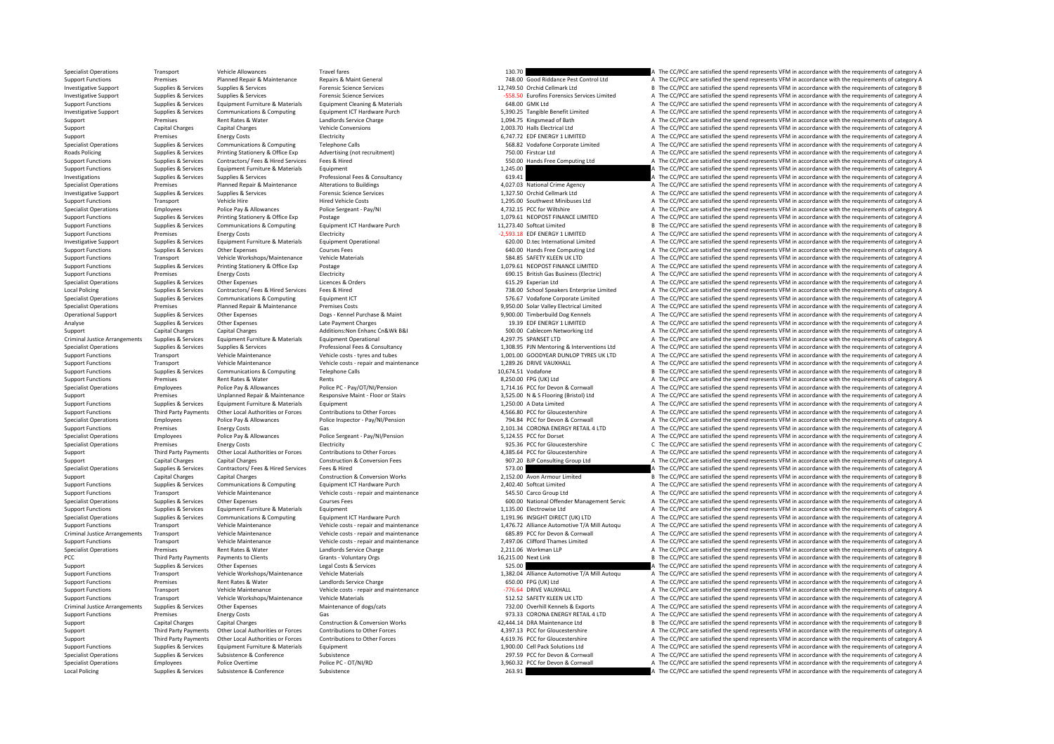Specialist Operations Transport Vehicle Allowances Travel fares Travel fares Travel fares Travel fares Travel fares Travel fares 130.70 A The CC/PCC are satisfied the spend represents VFM in accordance with the requirement Premises Planned Repair & Maintenance Repairs & Maint General 748.00 Good Riddance Pest Control Ltd A The CC/PCC are satisfied the spend represents VFM in accordance with the requirements of category A The Crime of the spe Investigative Support Supplies & Services Supplies & Services Forensic Science Services Forensic Science Services Forensic Science Services 12,749.50 Orchid Cellmark Ltd B The CC/PCC are satisfied the spend represents VFM Investigative Supplies Manuform of the comples and the comples of the control of Forensic Science Services (PCC) are saided the spend represents VFM in accordance with the requirements of category A<br>
Support Functions Supp Supplies & Services Equipment Furniture & Materials Equipment Cleaning & Materials Materials Equipment Cleaning & Materials 648.00 GMK Ltd A The CC/PCC are satisfied the spend represents VFM in accordance with the requirem nestigative Supplies & Services Communications & Computing Equipment ICT Hardware Purch Supplies and the CONCC are satisfied the spend represents VFM in accordance with the requirements of category A Support Premises Rent Rates & Water and Landlords Service Charge 1,094.75 Kingsmead of Bath A The CC/PCC are satisfied the spend represents VFM in accordance with the requirements of category A The COPCC are satisfied the Support Capital Charges Capital Charges Capital Charges Capital Charges Capital Charges Vehicle Conversions 2,003.70 Halls Electrical Ltd A The CC/PCC are satisfied the spend represents VFM in accordance with the requireme Support Premises Energy Costs Energy Costs Electricity Electricity Electricity Electricity 6,747.72 EDF ENERGY 1 LIMITED A The CC/PCC are satisfied the spend represents VFM in accordance with the requirements of category A Specialist Operations Supplies Services Communications & Computing Telephone Calls 568.82 Vodafone Corporate Limited A The CC/PCC are satisfied the spend represents VFM in accordance with the requirements of category A Roads Policing Supplies & Services Printing Stationery & Office Exp Advertising (not recruitment) 750.00 Firstcar Ltd A The CC/PCC are satisfied the spend represents VFM in accordance with the requirements of category A Support Functions Supplies & Services Contractors/ Fees & Hired Services Fees & Hired Services Fees & Hired Services Fees & Hired Services Fees & Hired Services Fees & Hired Services Fees & Hired 550.00 Hands Free Computin Support Functions Supplies & Services Equipment Functive & Materials Equipment Equipment Equipment and Equipment 1,245.00 A The CC/PCC are satisfied the spend represents VFM in accordance with the requirements of category Investigations Supplies & Services Supplies & Services Supplies & Services Professional Fees & Consultancy Professional Fees & Consultancy 619.41 A The CC/PCC are satisfied the spend represents VFM in accordance with the r Specialist Operations Planned Repair & Maintenance Alterations to Buildings and the Specialist Operations and the CC/PCC are satisfied the spend represents VFM in accordance with the requirements of category A The Crime Ag Investigative Support Supplies & Services Supplies & Services Forensic Science Services Forensic Science Services Forensic Science Services 1,327.50 Orchid Cellmark Ltd A The CC/PCC are satisfied the spend represents VFM i Transport Vehicle Hire Vehicle Hired Vehicle Costs Hired Vehicle Costs 1,295.00 Southwest Minibuses Ltd A The CC/PCC are satisfied the spend represents VFM in accordance with the requirements of category A The Costs 1,297, Specialist Operations Employees Police Pay & Allowances Police Sergeant - Pay/NI 4,732.15 PCC for Wiltshire A The CC/PCC are satisfied the spend represents VFM in accordance with the requirements of category A The Criminal Printing Stationery & Office Exp Postage Printing Printing Stationery A The CC/PCC are satisfied the spend represents VFM in accordance with the requirements of category A The CC/PCC are satisfied the spend represents VFM Support Functions Supplies & Services Communications & Computing Equipment ICT Hardware Purch 11,273.40 Softcat Limited B The CC/PCC are satisfied the spend represents VFM in accordance with the requirements of category B Support Functions Premises Energy Costs Electricity Electricity Electricity Electricity Electricity energy Costs Electricity energy and the controll in the spend represents VFM in accordance with the requirements of catego 1999 Investigative Support Support Support Supports Support Support Equipment Furniture & Materials Equipment Operational experiment of Category A The CC/PCC are satisfied the spend represents VFM in accordance with the re Support Functions Supplies & Services Other Expenses Courses Fees Courses Fees Courses Fees 640.00 Hands Free Computing Ltd A The CC/PCC are satisfied the spend represents VFM in accordance with the requirements of categor Support Functions Transport Vehicle Workshops/Maintenance Vehicle Materials vehicle Materials 584.85 SAFETY KLEEN UK LTD A The CC/PCC are satisfied the spend represents VFM in accordance with the requirements of category A Postage **Supplies Supplies Supplies Supplies Supplies A The CC/PCC** are satisfied the spend represents VFM in accordance with the requirements of category A Support Functions Premises Energy Costs Functions Electricity entity and the COSTS Electricity 690.15 British Gas Business (Electricity A The CC/PCC are satisfied the spend represents VFM in accordance with the requirement Specialist Operations Supplies & Services Other Expenses Licences & Orders Licences A Orders Licences & Orders Contents of category A The CC/PCC are satisfied the spend represents VFM in accordance with the requirements of Supplies & Services Contractors/ Fees & Hired Services Fees & Hired The Services Fees & Hired The Services Fees & Hired The Services Fees & Hired The Service Services The CO/PCC are satisfied the spend represents VFM in ac Specialist Operations Supplies Services Communications & Computing Equipment ICT 576.67 Vodafone Computate Computing Computing Computing Computing Computing Spendix at the spend of the spendix and represents VFM in accorda Specialist Operations Premises Premises Planned Repair & Maintenance Premises Costs 9,950.00 Solar Valley Electrical Limited A The CC/PCC are satisfied the spend represents VFM in accordance with the requirements of catego Operational Support Supplies & Services Other Expenses Dogs - Kennel Purchase & Maint Purchase A Maint 9,900.00 Timberbuild Dog Kennels A The CC/PCC are satisfied the spend represents VFM in accordance with the requirement Analyse Supplies & Services Other Expenses Late Payment Charges Late Payment Charges Late Payment Charges 20.39 EDF ENERGY 1 LIMITED A The CC/PCC are satisfied the spend represents VFM in accordance with the requirements o Support Capital Charges Capital Charges Capital Charges Additions:Non Enhanc Cn&Wk B&I 500.00 Cablecom Networking Ltd A The CC/PCC are satisfied the spend represents VFM in accordance with the requirements of category A Cr Criminal Justice Arrangements Supplies & Services Equipment Furniture & Materials Equipment Operational Equipment Operational example and the COST SPANSET LTD A The CC/PCC are satisfied the spend represents VFM in accordan Specialist Operations Supplies & Services Supplies & Services Professional Fees & Consultancy Professional Fees & Consultancy and the man and the man and the man and the man and the consultance of the COPCC are satisfied t A The CC/PCC are satisfied the spend represents VFM in accordance with the requirements of category A Support Functions Transport Vehicle Maintenance Vehicle costs ‐ repair and maintenance 1,289.26 DRIVE VAUXHALL A The CC/PCC are satisfied the spend represents VFM in accordance with the requirements of category A Support F Support Functions Supplies & Services Communications & Computing Telephone Calls Telephone Calls and the Support Calls 10,674.51 Vodafone B The CC/PCC are satisfied the spend represents VFM in accordance with the requireme Support Functions A The CC/PCC are satisfied the spend represents VFM in accordance with the requirements of category A<br>Police PC - Pav/OT/NI/Pension 2011 1714.16 PCC for Devon & Cornwall A The CC/PCC are satisfied the spe Specialist Operations Employees Police Pay & Allowances Police PC ‐ Pay/OT/NI/Pension 1,714.16 PCC for Devon & Cornwall A The CC/PCC are satisfied the spend represents VFM in accordance with the requirements of category A Support Premises Unplanned Repair & Maintenance Responsive Maint - Floor or Stairs and the Section 1955.00 N & S Flooring (Bristol) Ltd A The CC/PCC are satisfied the spend represents VFM in accordance with the requirement Equipment Functions Support Turniture A Data Limited A The CC/PCC are satisfied the spend represents VFM in accordance with the requirements of category A Support Functions Third Party Payments Other Local Authorities or Forces Contributions to Other Forces Contributions to Other Forces and the CCS CONDER DEC For Gloucestershire A The CC/PCC are satisfied the spend represent Specialist Operations Employees Police Pay & Allowances Police Inspector - Pay/NI/Pension 794.84 PCC for Devon & Cornwall A The CC/PCC are satisfied the spend represents VFM in accordance with the requirements of category Support Functions Premises Energy Costs Gas Gas 2,101.34 CORONA ENERGY RETAIL 4 LTD A The CC/PCC are satisfied the spend represents VFM in accordance with the requirements of category A The CC/PCC are satisfied the spend r Specialist Operations Employees Police Pay & Allowances Police Sergeant - Pay/NI/Pension Police Sergeant - Pay/NI/Pension 5,124.55 PCC for Dorset A The CC/PCC are satisfied the spend represents VFM in accordance with the r Specialist Operations Premises Energy Costs Electricity Electricity energy Costs Electricity 925.36 PCC for Gloucestershire C The CC/PCC are satisfied the spend represents VFM in accordance with the requirements of categor Support Third Party Payments Other I ocal Authorities or Forces Contributions to Other Forces Contributions of Other Forces and the content of the Contributions to Other Forces and a 385.64 PCC for Gloucestershire A The CC Support Capital Charges Capital Charges Capital Charges Construction & Conversion Fees 907.20 BJP Consulting Group Ltd A The CC/PCC are satisfied the spend represents VFM in accordance with the requirements of category A T SPECHIVEL ATHE CC/PCC are satisfied the spend represents VFM in accordance with the requirements of category A<br>2,152.00 Avon Armour Limited 67 A The CC/PCC are satisfied the spend represents VFM in accordance with the requ Support Capital Charges Capital Charges Construction & Conversion Works 2,152.00 Avon Armour Limited B The CC/PCC are satisfied the spend represents VFM in accordance with the requirements of category B Support Functions Supplies & Services Communications & Computing Equipment ICT Hardware Purch 2,402.40 Softcat Limited A The CC/PCC are satisfied the spend represents VFM in accordance with the requirements of category A T Transport Vehicle Maintenance Vehicle costs ‐ repair and maintenance 545.50 Carco Group Ltd A The CC/PCC are satisfied the spend represents VFM in accordance with the requirements of category A Specialist Operations Supplies & Services Other Expenses Courses Fees courses Fees 600.00 National Offender Management Servic A The CC/PCC are satisfied the spend represents VFM in accordance with the requirements of categ Support Functions Supplies & Services Equipment Functions Equipment Equipment Equipment Equipment Equipment Equipment Equipment Equipment Punctions and the CC/PCC are satisfied the spend represents VFM in accordance with t Specialist Operations Supplies & Services Communications & Communications & Communications & Communications & Communications & Communications & Communications & Communications Foujierments (CITERCOM) and Supplier and The C Support Eunctions Transport Menicle Maintenance Menicle Costs - repair and maintenance Penicle Costs and the CONCCALLE AND 1976.72 Alliance Automotive T/A Mill Autoqu A The CC/PCC are satisfied the spend represents VFM in Criminal Justice Arrangements Transport Vehicle Maintenance Vehicle costs - repair and maintenance vehicle costs - repair and maintenance vehicle costs - repair and maintenance 685.89 PCC for Devon & Cornwall A The CC/PCC Transport Vehicle Maintenance Vehicle costs - repair and maintenance 7,497.06 Clifford Thames Limited A The CC/PCC are satisfied the spend represents VFM in accordance with the requirements of category A Specialist Operations Premises Rent Rates & Water Landlords Service Charge Landlords Service Charge 2,211.06 Workman LLP A The CC/PCC are satisfied the spend represents VFM in accordance with the requirements of category A PCC Third Party Payments Payments to Clients Grants - Voluntary Orgs 16,215.00 Next Link B The CC/PCC are satisfied the spend represents VFM in accordance with the requirements of category B Support Support Support Support Support Support Support Support Support Support Support Support Support Support Support Support Support Support Support Support Support Support Support Support Support Support Support Suppor Support Transport Vehicle Workshops/Maintenance Vehicle Materials vehicle Materials 1,382.04 Alliance Automotive T/A Mill Autoqu A The CC/PCC are satisfied the spend represents VFM in accordance with the requirements of ca Support Functions Premises Rent Rates & Water Landlords Service Charge Landlords Service Charge 650.00 FPG (UK) Ltd A The CC/PCC are satisfied the spend represents VFM in accordance with the requirements of category A The Support Functions Transport Vehicle Maintenance Vehicle costs ‐ repair and maintenance vehicle costs • repair and maintenance and maintenance and a the CC/PCC are satisfied the spend represents VFM in accordance with the r Support Functions Transport Vehicle Workshops/Maintenance Vehicle Materials vehicle Materials 512.52 SAFETY KLEEN UK LTD A The CC/PCC are satisfied the spend represents VFM in accordance with the requirements of category A Supplies & Services Other Expenses Maintenance of dogs/cats Maintenance of dogs/cats 732.00 Overhill Kennels & Exports A The CC/PCC are satisfied the spend represents VFM in accordance with the requirements of category A Support Functions Premises Energy Costs Gas Gas Functions Gas 973.33 CORONA ENERGY RETAIL 4 LTD A The CC/PCC are satisfied the spend represents VFM in accordance with the requirements of category A Support Capital Charges Capital Charges Capital Charges Construction & Conversion Works Conversion Works 42,444.14 DRA Maintenance Ltd B The CC/PCC are satisfied the spend represents VFM in accordance with the requirements Third Party Payments Other Local Authorities or Forces Contributions to Other Forces (4,397.13 PCC for Gloucestershire A The CC/PCC are satisfied the spend represents VFM in accordance with the requirements of category A Third Party Payments Other Local Authorities or Forces Contributions to Other Forces and the COMEXALES AG19.76 PCC for Gloucestershire and The CC/PCC are satisfied the spend represents VFM in accordance with the requiremen Support Functions Supplies & Services Equipment Furniture & Materials Equipment Equipment 1,900.00 Cell Pack Solutions Ltd A The CC/PCC are satisfied the spend represents VFM in accordance with the requirements of category A The CC/PCC are satisfied the spend represents VFM in accordance with the requirements of category A Specialist Operations Employees Police Overtime Police PC – OT/NI/RD Police POT/NI/RD 3,960.32 PCC for Devon & Cornwall A The CC/PCC are satisfied the spend represents VFM in accordance with the requirements of category A Local Policing Supplies & Services Subsistence Subsistence Subsistence Subsistence Subsistence Subsistence 263.91 263.91 A The CC/PCC are satisfied the spend represents VFM in accordance with the requirements of category A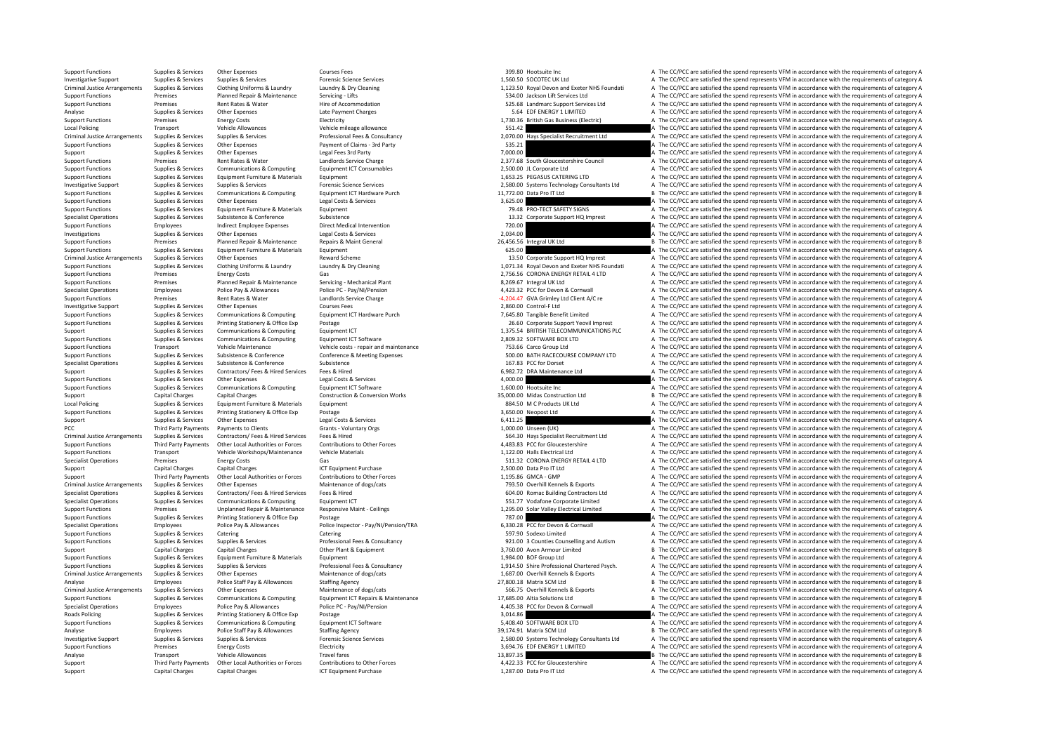Support Capital Charges Capital Charges ICT Equipment Purchase 1,287.00 Data Pro IT Ltd A The CC/PCC are satisfied the spend represents VFM in accordance with the requirements of category A

Support Functions Supplies & Services Other Expenses Courses Fees Support Functions Courses Fees 399.80 Hootsuite Inc a Support Functions A The CC/PCC are satisfied the spend represents VFM in accordance with the requireme Supplies & Services Forensic Science Services Support Support Support Support Support Support Support Support Support Support Support Support Support Support Support Support Support Support Support Support Support Support Criminal Justice Arrangements Supplies & Services Clothing Uniforms & Laundry Laundry & Dry Cleaning Manuscular Criminal Justice Arrangements Supplies & Services Clothing Uniforms & Laundry A Dry Cleaning Supplies and the Support Functions Premises Planned Repair & Maintenance Servicing - Lifts Servicing Lifts 534.00 Jackson Lift Services Ltd A The CC/PCC are satisfied the spend represents VFM in accordance with the requirements of category Experiences Rent Rates & Water Hire of Accommodation Hire of Accommodation 525.68 Landmarc Support Services Ltd A The CC/PCC are satisfied the spend represents VFM in accordance with the requirements of category A Support Analyse Supplies & Services Other Expenses Late Payment Charges Late Payment Charges Late Payment Charges Company and the CC/PCC are satisfied the spend represents VFM in accordance with the requirements of category A Support Functions Premises Energy Costs Energy Costs Electricity Electricity Electricity 1,730.36 British Gas Business (Electric) A The CC/PCC are satisfied the spend represents VFM in accordance with the requirements of c A The CC/PCC are satisfied the spend represents VFM in accordance with the requirements of category A Criminal Justice Arrangements Supplies & Services Supplies & Services Professional Fees & Consultancy Professional Fees & Consultancy 2,070.00 Hays Specialist Recruitment Ltd A The CC/PCC are satisfied the spend represents Support Functions Support Claims Concerns Controllers of the Expenses Payment of Claims 3rd Party 535.21 A The CC/PCC are satisfied the spend represents VFM in accordance with the requirements of category A Support Supplies & Services Other Expenses Legal Fees 3rd Party 7,000,000 7,000,000 A The CC/PC are satisfied the spend represents VFM in accordance with the requirements of category A Support Functions Premises Premises Rent Rates & Water Landlords Service Charge Landlords Service Charge Landlords Service Charge Landlords Service Charge Landlords Service Charge Landlords Service Charge Equirements Conce Support Functions Supplies & Services Communications & Computing Equipment ICT Consumables 2,500.00 JL Corporate Ltd A The CC/PCC are satisfied the spend represents VFM in accordance with the requirements of category A The Support Functions Supplies & Services Equipment Furniture & Materials Equipment Equipment 1,653.25 PEGASUS CATERING LTD A The CC/PCC are satisfied the spend represents VFM in accordance with the requirements of category A Investigative Supplies Manuform Supplies & Services Supplies & Services Services Forensic Science Services (For Example 2,580.00 Systems Technology Consultants Ltd A The CC/PCC are satisfied the spend represents VFM in acc B The CC/PCC are satisfied the spend represents VFM in accordance with the requirements of category B Support Functions Supplies & Services Other Expenses Legal Costs & Services Legal Costs & Services Legal Costs & Services 3,625.00 A The CC/PCC are satisfied the spend represents VFM in accordance with the requirements of Support Functions Supplies & Services Equipment Furniture & Materials Equipment Equipment Equipment 2013 Company a The CC/PCC are satisfied the spend represents VFM in accordance with the requirements of category A The Cri Subsistence with the requirements of category A Services Support HQ Imprest A The CC/PCC are satisfied the spend represents VFM in accordance with the requirements of category A The CC/PCC are satisfied the spend represent Support Functions Employees Indirect Employee Expenses Direct Medical Intervention 2000 720.00 A The CC/PCC are satisfied the spend represents VFM in accordance with the requirements of category A Investigation Support Fun Investigations Supplies & Services Other Expenses Legal Costs & Services 2,034.00 A The CC/PCC are satisfied the spend represents VFM in accordance with the requirements of category A The COST in a strategory and the requi Support Functions Premises Planned Repair & Maintenance Repairs & Maint General Repairs & Maint General 26,456.56 Integral UK Ltd B The CC/PCC are satisfied the spend represents VFM in accordance with the requirements of c Support Functions Supplies & Services Equipment Furniture & Materials Equipment<br>
Criminal Justice Arrangements Supplies & Services Other Expenses Reward Scheme Reward Scheme Reward Scheme and the CC/PCC are satisfied the s Criminal Justice Arrangements Supplies & Services Other Expenses Reward Scheme Reward Scheme 13.50 Corporate Support HQ Imprest A The CC/PCC are satisfied the spend represents VFM in accordance with the requirements of cat A The CC/PCC are satisfied the spend represents VFM in accordance with the requirements of category A Support Functions Premises Energy Costs Gas Costs Gas Contained Reproduce Servicing - Mechanical Plant Costs Communications and the CC/PCC are satisfied the spend represents VFM in accordance with the requirements of categ Support Functions Premises Planned Repair & Maintenance Servicing - Mechanical Plant 8,269.67 Integral UK Ltd A The CC/PCC are satisfied the spend represents VFM in accordance with the requirements of category A Specialist Operations Employees Police Pay & Allowances Police PC - Pay/NI/Pension Police PC - Pay/NI/Pension 4,423.32 PCC for Devon & Cornwall A The CC/PCC are satisfied the spend represents VFM in accordance with the req Support Functions Premises Rent Rates & Water Landlords Service Charge Landlords Service Charge Landlords Service Charge Landlords Service Charge Charge 4,204.47 GVA Grimley Ltd Client A/C re A The CC/PCC are satisfied th Investigative Support Support Support Support Supportes Other Expenses Courses Fees Courses Fees 2,860.00 Control‐F Ltd A The CC/PCC are satisfied the spend represents VFM in accordance with the requirements of category A Support Functions Supplies & Services Communications & Computing Equipment ICT Hardware Purch 7,645.80 Tangible Benefit Limited A The CC/PCC are satisfied the spend represents VFM in accordance with the requirements of cat Supplies & Services Printing Stationery & Office Exp Postage Printing Postage 26.60 Corporate Support Yeovil Imprest A The CC/PCC are satisfied the spend represents VFM in accordance with the requirements of category A Sup Support Support Support Support Support Communications & Computing Equipment ICT 1,375.54 BRITISH TELECOMMUNICATIONS PLC A The CC/PCC are satisfied the spend represents VFM in accordance with the requirements of category A Support Functions Supplies & Services Communications & Computing Equipment ICT Software Equipment ICT Software 2,809.32 SOFTWARE BOX LTD A The CC/PCC are satisfied the spend represents VFM in accordance with the requiremen Support Functions Transport Vehicle Maintenance Vehicle costs ‐ repair and maintenance Vehicle costs – repair and maintenance Pass are are a The CC/PCC are satisfied the spend represents VFM in accordance with the requirem A The CC/PCC are satisfied the spend represents VFM in accordance with the requirements of category A Specialist Operations Supplies & Services Subsistence Subsistence Subsistence Subsistence Subsistence Subsistence Subsistence A Subsistence A The CC/PCC are satisfied the spend represents VFM in accordance with the require Support Supplies & Services Contractors/ Fees & Hired Services Fees & Hired Fees & Hired Fees & Hired Fees & Hired Expansion Contractors Contractors/ Fees & Hired Inc. Contractors Fees & Hired 6,982.72 DRA Maintenance Ltd Other Expenses Legal Costs & Services Legal Costs & Services A,000.00 A The CC/PCC are satisfied the spend represents VFM in accordance with the requirements of category A The CC/PCC are satisfied the spend represents VFM Support Functions Supplies & Services Communications & Computing Foundment ICT Software 1,600.00 Hootsuite Inc A The CC/PCC are satisfied the spend represents VFM in accordance with the requirements of category A Support Capital Charges Capital Charges Capital Charges Construction & Conversion Works 35,000.00 Midas Construction Ltd B The CC/PCC are satisfied the spend represents VFM in accordance with the requirements of category B Equipment equipment and the COVEC are satisfied the spend represents VFM in accordance with the requirements of category A Support Functions Supplies & Services Printing Stationery & Office Exp Postage 3,650.00 Neopost Ltd 3,650.00 Neopost Ltd A The CC/PCC are satisfied the spend represents VFM in accordance with the requirements of category A Support Support Supporters Other Expenses Legal Costs & Services Costs A The CALLES A The CC/PCC are satisfied the spend represents VFM in accordance with the requirements of category A PCC Third Party Payments Payments of Clients Grants - Voluntary Orgs Grants - Voluntary Orgs Crants - Voluntary Orgs 1,000.00 Unseen (UK) A The CC/PCC are satisfied the spend represents VFM in accordance with the requireme Criminal Justice Arrangements Supplies & Services Contractors/ Fees Alired Services Fees & Hired Services Fees & Hired Services Fees & Hired Services Fees & Hired Services Services Services Services Controllectors Services Support Functions Third Party Payments Other Local Authorities or Forces Contributions to Other Forces Contributions of Content Forces and the COC Giovestershire A The CC/PCC are satisfied the spend represents VFM in accor Support Functions Transport Vehicle Workshops/Maintenance Vehicle Materials vehicle Materials Vehicle Materials Vehicle Materials 1,122.00 Halls Electrical Ltd A The CC/PCC are satisfied the spend represents VFM in accorda Specialist Operations Premises Energy Costs Gas Gas Specialist Operations Premises Energy Costs Gas 511.32 CORONA ENERGY RETAIL 4 LTD A The CC/PCC are satisfied the spend represents VFM in accordance with the requirements Support Capital Charges Capital Charges Capital Charges Capital Charges ICT Equipment Purchase 2,500.00 Data Pro IT Ltd A The CC/PCC are satisfied the spend represents VFM in accordance with the requirements of category A Support Third Party Payments Other Local Authorities or Forces Contributions to Other Forces 1,195.86 GMCA – GMP A The CC/PCC are satisfied the spend represents VFM in accordance with the requirements of category A Criminal Justice Arrangements Supplies & Services Other Expenses Maintenance of dogs/cats Maintenance of dogs/cats Maintenance of dogs/cats 793.50 Overhill Kennels & Exports A The CC/PCC are satisfied the spend represents A The CC/PCC are satisfied the spend represents VEM in accordance with the requirements of category A Specialist Operations Supplies & Services Communications & Computing Equipment ICT Equipment ICT 551.77 Vodafone Corporate Limited A The CC/PCC are satisfied the spend represents VFM in accordance with the requirements of of the Control of the CONCORRECT CONTROLLET A THE CONTROLLET A THE CONTROLLET A THE CONTROLLET A THE CONTROLLET A THE CONTROLLET A THE CONTROLLET A THE CONTROLLET A THE CONTROLLET A THE CONTROLLET A THE CONTROLLET A THE CO Support Functions Supplies & Services Printing Stationery & Office Exp Postage 787.00 787.00 A The CC/PCC are satisfied the spend represents VFM in accordance with the requirements of category A Specialist Operations Employees Police Pay & Allowances Police Inspector - Pay/N/Pension/TRA 6330.28 PCC for Devon & Community Care and Fine CC/PCC are satisfied the spend represents VFM in accordance with the requirements Support Functions Supplies & Services Catering Catering Catering Catering Catering Catering Catering Support Enters are a Services Catering Catering Catering Support Enters and Detail and A The CC/PCC are satisfied the spe A The CC/PCC are satisfied the spend represents VEM in accordance with the requirements of category A Support Capital Charges Capital Charges Capital Charges Other Plant & Equipment Other Plant & Equipment Charges Other Plant & Equipment Support Charges and the Support B The CC/PCC are satisfied the spend represents VFM in Support Functions Supplies & Services Equipment Furniture & Materials Equipment Equipment 1,984.00 BOF Group Ltd A The CC/PCC are satisfied the spend represents VFM in accordance with the requirements of category A Support Functions Supplies & Services Supples & Services Professional Fees & Consultancy Professional Charles Consultancy and the COMERA Consultance of charles and the CONCES of the CONCES are satisfied the spend represent Criminal Justice Arrangements Supplies & Services Other Expenses Maintenance of dogs/cats Maintenance of dogs/cats and the Supplies and the CC/PCC are satisfied the spend represents VFM in accordance with the requirements Analyse Employees Police Staff Pay & Allowances Staffing Agency Staffing Agency State and the CONCLICE Agency 27,800.18 Matrix SCM Ltd B The CC/PCC are satisfied the spend represents VFM in accordance with the requirements Criminal Justice Arrangements Supplies & Services Other Expenses Maintenance of dogs/cats Maintenance of dogs/cats and the Services of the COPCC are satisfied the spend represents VFM in accordance with the requirements of Support Functions Tunnel Support Functions and Support of Support of Tunnel Equipment of Computing Equipment ICT Repairs & Maintenance and the 17,685.00 Altia Solutions Ltd B The CC/PCC are satisfied the spend represents V Employees Police Pay & Allowances Police PC ‐ Pay/NI/Pension 4,405.38 PCC for Devon & Cornwall A The CC/PCC are satisfied the spend represents VFM in accordance with the requirements of category A Roads Policing Supplies & Services Printing Stationery & Office Exp Postage Protage 3,014.86 A The CC/PCC are satisfied the spend represents VFM in accordance with the requirements of category A The CC/PCC are satisfied th Support Functions Supplies & Services Communications & Computing Equipment ICT Software Equipment ICT Software<br>
39,174.91 Matrix SCM Ltd States and the CC/PCC are satisfied the spend represents VFM in accordance with the r Analyse Employees Police Staff Pay & Allowances Staffing Agency Staff and the Stategory B The CC/PCC are satisfied the spend represents VFM in accordance with the requirements of category B Investigative Supplies Manuform of Supplies & Services Supplies & Services Services Forensic Science Services<br>
Energy Costs Energy Costs Electricity (Electricity and the COST SALES 2000 Systems Technology Consultants Ltd A Support Functions Premises Energy Costs Electricity Electricity Electricity and the spend of the COST ENERGY 1 LIMITED A The CC/PCC are satisfied the spend represents VFM in accordance with the requirements of category A T Analyse Transport Transport Transport Allowances Transport Callo Building B The CC/PCC are satisfied the spend represents VFM in accordance with the requirements of category B A The CC/PCC are satisfied the spend represent Third Party Payments Other I oral Authorities or Forces Contributions to Other Forces and the Superinte Contribution of Other Forces and the CONSTANTION of CONCENTRATION of CALCONNA The CONSTANTION CONTRATION CONTRATION CO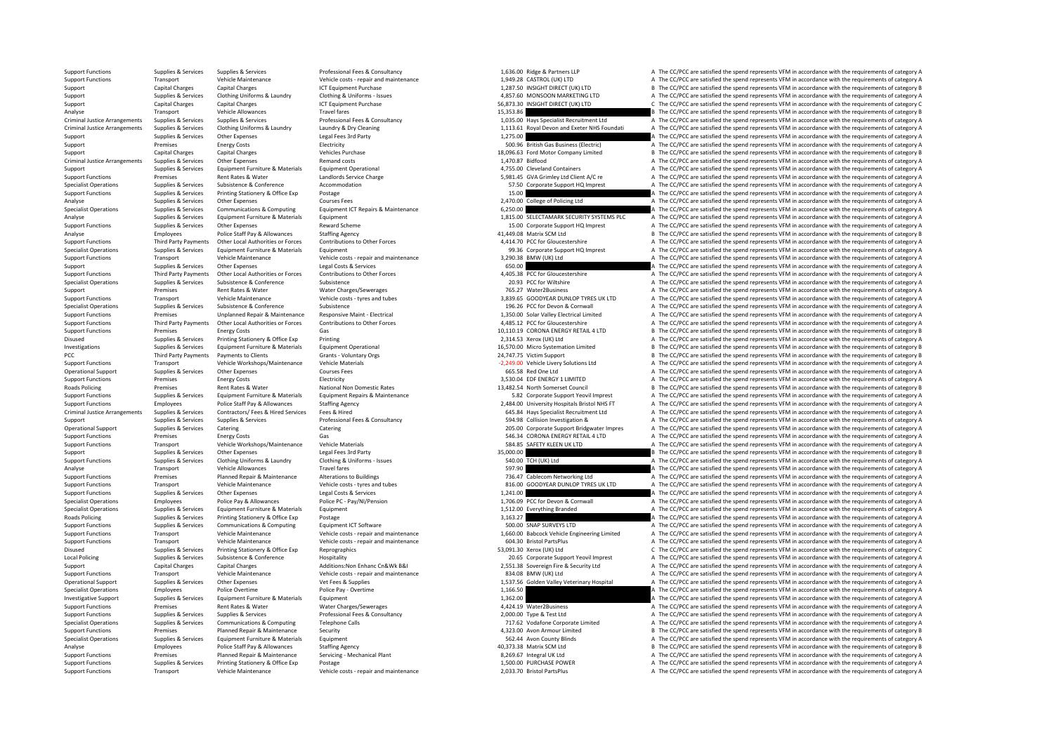Support Functions Supplies & Services Supplies & Services Professional Fees & Consultancy Professional Fees & Consultancy 1,636.00 Ridge & Partners LLP A The CC/PCC are satisfied the spend represents VFM in accordance with Transport Vehicle Maintenance Vehicle costs ‐ repair and maintenance 1,949.28 CASTROL (UK) LTD A The CC/PCC are satisfied the spend represents VFM in accordance with the requirements of category A The Criteria and the spen Support Capital Charges Capital Charges Capital Charges ICT Equipment Purchase 1,287.50 INSIGHT DIRECT (UK) LTD B The CC/PCC are satisfied the spend represents VFM in accordance with the requirements of category B Support Supplies & Services Clothing Uniforms & Laundry Clothing & Uniforms - Issues 1,997.69 MONSOON MARKETING LTD A The CC/PCC are satisfied the spend represents VFM in accordance with the requirements of category A CT E Capital Charges Capital Charges Capital Charges Capital Charges Capital Charges ICT Equipment Purchase 156,873.30 INSIGHT DIRECT (UK) LTD C The CC/PCC are satisfied the spend represents VFM in accordance with the requireme Analyse Transport Vehicle Allowances Travel fares Travel fares The CONCC are satisfied the spend represents VFM in accordance with the requirements of category B Criminal Justice Arrangements Supplies & Services Supples & Services Professional Fees & Consultancy Professional Fees & Consultancy and the state of the Service of Criminal Justice Arrangements of category A The CC/PCC ar A The CC/PCC are satisfied the spend represents VEM in accordance with the requirements of category A Support Supplies & Services Other Expenses Legal Fees 3rd Party 1,275.00 A The CC/PCC are satisfied the spend represents VFM in accordance with the requirements of category A The Critics are satisfied the spend represents Support Premises Energy Costs Function Electricity 500.96 British Gas Business (Electricity A The CC/PCC are satisfied the spend represents VFM in accordance with the requirements of category A Support Capital Charges Capital Charges Capital Charges Vehicles Purchase 18,096.63 Ford Motor Company Limited B The CC/PCC are satisfied the spend represents VFM in accordance with the requirements of category B Section C Criminal Justice Arrangements Supplies & Services Other Expenses Remand costs Remand costs Remand costs Remand costs 1,470.87 Bidfood 1,755.00 Cleveland Containers A The CC/PCC are satisfied the spend represents VFM in acc Support Support Support Support Support Equipment Furniture & Materials Equipment Operational Equipment Operational 4,755.00 Cleveland Containers A The CC/PCC are satisfied the spend represents VFM in accordance with the r Support Functions Premises Premises Rent Rates & Water Landlords Service Charge Landlords Service Charge Landlords Service Charge Charge States and the Service Charge Service Charge Service Accommodation Are a Service Acco Specialist Operations Supplies & Services Subsistence Subsistence Accommodation Accommodation Support A The CC/PCC are satisfied the spend represents VFM in accordance with the requirements of category A The CO/PCC are sat Postage experiences and Supplies A The CC/PCC are satisfied the spend represents VFM in accordance with the requirements of category A Analyse Supplies & Services Other Expenses Courses Fees Courses Fees 2,470.00 College of Policing Ltd A The CC/PCC are satisfied the spend represents VFM in accordance with the requirements of category A Specialist Operations Supplies Services Communications & Computing Equipment ICT Repairs & Maintenance 6,250.00 A The CC/PCC are satisfied the spend represents VFM in accordance with the requirements of category A The CC/P Analyse Supplies & Services Equipment Furniture & Materials Equipment Equipment 1,815.00 SELECTAMARK SECURITY SYSTEMS PLC A The CC/PCC are satisfied the spend represents VFM in accordance with the requirements of category Supplies & Services Other Expenses Corporate Support Functions Corporate Corporate Corporate Corporate A The CC/PCC are satisfied the spend represents VFM in accordance with the requirements of category A The CORPORATHING Analyse Employees Police Staff Pay & Allowances Staffing Agency Staffing Agency and the spend and the control of the CC/PCC are satisfied the spend represents VFM in accordance with the requirements of category B The CC/PC Support Functions Third Party Payments Other Local Authorities or Forces Contributions to Other Forces 4,414.70 PCC for Gloucestershire <sup>A</sup> The CC/PCC are satisfied the spend represents VFM in accordance with the requirements of category A Specialist Operations Supplies & Services Equipment Furniture & Materials Equipment Equipment Equipment Equipment<br>Support Functions Support Functions Transport Vehicle Maintenance Vehicle costs repair and maintenance vehic Support Transport Vehicle Maintenance Vehicle costs - repair and maintenance Vehicle costs - repair and maintenance and a The CC/PCC are satisfied the spend represents VFM in accordance with the requirements of category A Support Support Support Support Support Support Support Support Support Support Support Support Support Support Support Support Support Support Support Support Support Support Support Support Support Support Support Suppor Support Functions Third Party Payments Other Local Authorities or Forces Contributions to Other Forces Contributions to Other Forces and the CONCERT AUGUST A The CC/PCC are satisfied the spend represents VFM in accordance Specialist Operations Supplies & Services Subsistence Subsistence Subsistence Subsistence Subsistence 20.93 PCC for Wiltshire A The CC/PCC are satisfied the spend represents VFM in accordance with the requirements of categ Support Premises Rent Rates & Water Water Charges/Sewerages 765.27 Water2Business A The CC/PCC are satisfied the spend represents VFM in accordance with the requirements of category A Transport Premises Rent Rates & Water Support Functions Transport Vehicle Maintenance Vehicle costs tyres and tubes 3,839.65 GOODYEAR DUNLOP TYRES UK LTD A The CC/PCC are satisfied the spend represents VFM in accordance with the requirements of category A Specialist Operations Supplies & Services Subsistence Subsistence Subsistence Subsistence Subsistence Subsistence<br>
Support Functions and Devolutions and the conference and the spend represents VFM in accordance with the re Support Functions of Premises Unplanned Repair & Maintenance Responsive Maint - Electrical Area and the CONCOLL 1,350.00 Solar Valley Electrical Limited Area COPCC are satisfied the spend represents VFM in accordance with 1) Support Functions and Third Party Payments Other Local Authorities or Forces Contributions to Other Forces<br>
1) Support Functions and the contributions of the CONTECT CONTECT CONTECT CONTECT ARE CONTECT ARE CONTECT ARE<br> Support Functions Premises Energy Costs Gas Gas 10,110.19 CORONA ENERGY RETAIL 4 LTD B The CC/PCC are satisfied the spend represents VFM in accordance with the requirements of category B Disused Supplies & Services Printing Stationery & Office Exp Printing Printing 2,314.53 Xerox (UK) Ltd A The CC/PCC are satisfied the spend represents VFM in accordance with the requirements of category A Investigations Supplies & Services Equipment Furniture & Materials Equipment Operational Equipment Operational<br>
PCC 2017/17/25 Victim Support Barry Development of Development of Category B The CC/PCC are satisfied the spen B The CC/PCC are satisfied the spend represents VFM in accordance with the requirements of category B Support Functions Transport Vehicle Workshops/Maintenance Vehicle Materials • 2,249.00 Vehicle Livery Solutions Ltd A The CC/PCC are satisfied the spend represents VFM in accordance with the requirements of category A The Operational Support Supplies & Services Other Expenses Courses Fees 665.58 Red One Ltd A The CC/PCC are satisfied the spend represents VFM in accordance with the requirements of category A The CC/PCC are satisfied the spen Support Functions Premises Electricity Electricity and the Support Functions Premises A The CC/PCC are satisfied the spend represents VFM in accordance with the requirements of category A The Support of the spend represent Roads Policing Premises Premises Premises Rent Rates & Water National Non Domestic Rates National Non Domestic Rates National Non Domestic Rates and the Support Premises Council B The CC/PCC are satisfied the spend represe Support Functions Supplies & Services Equipment Furniture & Materials Equipment Repairs Equipment Repairs & Maintenance and the Same that the serves that the requirements of category A The CC/PCC are satisfied the spend re Employees Police Staff Pay & Allowances Staffing Agency Staffing Agency 2,484.00 University Hospitals Bristol NHS FT A The CC/PCC are satisfied the spend represents VFM in accordance with the requirements of category A Criminal Justice Arrangements Supplies & Services Contractors/ Fees & Hired Services Fees & Hired Services Fees & Hired Services Fees & Hired Materia Contractors Arrangements of category A Support Supplies & Services Supplies & Services Professional Fees & Consultancy 594.98 Collision Investigation & A The CC/PCC are satisfied the spend represents VFM in accordance with the requirements of category A Operational Support Supplies & Services Catering Catering Catering Catering Catering Catering Catering Catering Catering Catering Catering Catering 205.00 Corporate Support Bridgwater Impres A The CC/PCC are satisfied the Support Functions Premises Energy Costs Gas Gas Sass Sasts Sections Coronal Data Section of the CORONA ENERGY RETAIL 4 LTD A The CC/PCC are satisfied the spend represents VFM in accordance with the requirements of category Support Functions Transport Vehicle Workshops/Maintenance Vehicle Materials 584.85 SAFETY KLEEN UK LTD A The CC/PCC are satisfied the spend represents VFM in accordance with the requirements of category A Support Supplies & Services Other Expenses Legal Fees 3rd Party Collegal Fees 3rd Party Collegal Fees 3rd Party<br>
Support Functions Support Functions Supplies & Services Clothing Uniforms & Laundry Clothing & Laundry Clothi Supplies & Services Clothing Uniforms & Laundry Clothing & Uniforms - Issues Support Functions and the Support<br>
Support Travelares Travelares Travelares Travelares Travelares and the Support of the Support of the Support<br> Analyse Chicle Allowances Travel fares Travel fares Travel fares Travel fares and the CONCO are satisfied the spend represents VFM in accordance with the requirements of category A The CONCO are satisfied the spend represe Premises Planned Repair & Maintenance Alterations to Buildings and the Support The CONCES 736.47 Cablecom Networking Ltd A The CC/PCC are satisfied the spend represents VFM in accordance with the requirements of category A Support Functions Transport Vehicle Maintenance Vehicle costs – tyres and tubes 816.00 GOODYEAR DUNLOP TYRES UK LTD A The CC/PCC are satisfied the spend represents VFM in accordance with the requirements of category A The Support Functions Support Functions A The CC/PCC are satisfied the spend represents VFM in accordance with the requirements of category A The CC/PCC are satisfied the spend represents VFM in accordance with the requirement Specialist Operations Employees Police Pay & Allowances Police PC - Pay/NI/Pension Police PC - Pay/NI/Pension Police PC - Pay/NI/Pension 1,706.09 PCC for Devon & Cornwall A The CC/PCC are satisfied the spend represents VFM Specialist Operations Supplies & Services Equipment Furniture & Materials Equipment Equipment 1,512.00 Everything Branded A The CC/PCC are satisfied the spend represents VFM in accordance with the requirements of category Roads Policing Supplies & Services Printing Stationery & Office Exp Postage 2016 Postage 3,163.27 A The CC/PCC are satisfied the spend represents VFM in accordance with the requirements of category A The CC/PCC are satisfi Support Functions Supplies & Services Communications & Computing Equipment ICT Software Equipment ICT Software 500.00 SNAP SURVEYS LTD A The CC/PCC are satisfied the spend represents VFM in accordance with the requirements Support Eurotions Transport Vehicle Maintenance Vehicle costs - repair and maintenance vehicle costs - repair and maintenance vehicle costs - repair and maintenance and the COSC Vehicle Engineering Limited A The CC/PCC are Transport Vehicle Maintenance Vehicle costs ‐ repair and maintenance 604.30 Bristol PartsPlus A The CC/PCC are satisfied the spend represents VFM in accordance with the requirements of category A Disused Supplies & Services Printing Stationery & Office Exp Reprographics export and the requirements of category C The CC/PCC are satisfied the spend represents VFM in accordance with the requirements of category C Local Policing Supplies & Services Subsistence & Conference Hospitality Hospitality Hospitality A The CC/PCC are satisfied the spend represents VFM in accordance with the requirements of category A Capital Chosent A The CC Support Capital Charges Capital Charges Additions:Non Enhanc Cn&Wk B&I 2,551.38 Sovereign Fire & Security Ltd A The CC/PCC are satisfied the spend represents VFM in accordance with the requirements of category A Support Functions Transport Vehicle Maintenance Vehicle costs - repair and maintenance and maintenance 834.08 BMW (UK) Ltd A The CC/PCC are satisfied the spend represents VFM in accordance with the requirements of category A The CC/PCC are satisfied the spend represents VFM in accordance with the requirements of category A Specialist Operations Employees Police Overtime Police Pay - Overtime Police Pay - Overtime Police Pay - Overtime<br>1,166.50 A The CC/PCC are satisfied the spend represents VFM in accordance with the requirements of category Investigative Support Support Support Supporter Support Equipment 1,362.00 A The CC/PCC are satisfied the spend represents VFM in accordance with the requirements of category A Support Functions Premises Rent Rates & Water Water Charges/Sewerages A The CALL Mater2Business A The CC/PCC are satisfied the spend represents VFM in accordance with the requirements of category A Support Functions Supplies & Services Supplies & Services Professional Fees & Consultancy Professional Fees & Consultancy 2,000.00 Type & Test Ltd A The CC/PCC are satisfied the spend represents VFM in accordance with the Specialist Operations Supplies & Services Communications & Computing Telephone Calls Telephone Calls 717.62 Vodafone Corporate Limited A The CC/PCC are satisfied the spend represents VFM in accordance with the requirements Premises Planned Repair & Maintenance Security and Security and the security and the spend represents VFM in accordance with the requirements of category B The CC/PCC are satisfied the spend represents VFM in accordance wi Specialist Operations Supplies & Services Equipment Furniture & Materials Equipment Equipment Equipment 562.44 Avon County Blinds A The CC/PCC are satisfied the spend represents VFM in accordance with the requirements of c Analyse Employees Police Staff Pay & Allowances Staffing Agency Staffing Agency Analyse and Agency 40,373.38 Matrix SCM Ltd B The CC/PCC are satisfied the spend represents VFM in accordance with the requirements of categor Premises Planned Repair & Maintenance Servicing • Mechanical Plant and States A The Servicing integral UK Ltd A The CC/PCC are satisfied the spend represents VFM in accordance with the requirements of category A The CC/PC Support Functions Supplies & Services Printing Stationery & Office Exp Postage Printing Postage Printing Postage 1,500.00 PURCHASE POWER A The CC/PCC are satisfied the spend represents VFM in accordance with the requiremen Support Functions Transport Vehicle Maintenance Vehicle costs - repair and maintenance Vehicle costs - repair and maintenance 2,033.70 Bristol PartsPlus A The CC/PCC are satisfied the spend represents VFM in accordance wit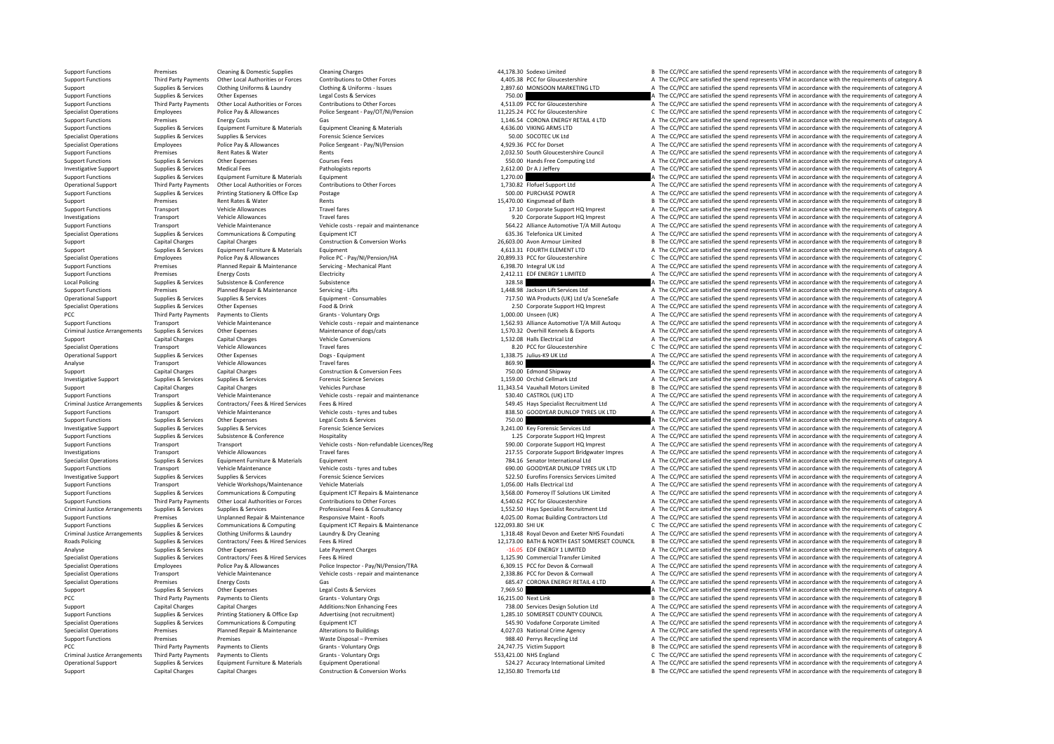Support Functions Premises Cleaning & Domestic Supplies Cleaning Charges Cleaning Charges Cleaning Charges Cleaning Charges and the spend at the spend of the spend represents VFM in accordance with the requirements of cate Other Local Authorities or Forces Contributions to Other Forces Contributions to Other Forces (School and The CC/PCC are satisfied the spend represents VFM in accordance with the requirements of category A (405) and AUSA a Support Support Support Clothing Uniforms & Laundry Clothing & Uniforms – Issues 2,897.60 MONSOON MARKETING LTD A The CC/PCC are satisfied the spend represents VFM in accordance with the requirements of category A Support Functions Supplies & Services Other Expenses Legal Costs & Services Legal Costs & Services Costs & Services 2001 and the magnetic of the CC/PCC are satisfied the spend represents VFM in accordance with the requirem Support Functions Third Party Payments Other Local Authorities or Forces Contributions to Other Forces Contributions to Other Forces Contributions of the Forces of the CONCOSTER AUTHOR ASSAULT AND A THE CONCORDER AND THE C Employees Police Pay & Allowances Police Sergeant - Pay/OT/NI/Pension 11,225.24 PCC for Gloucestershire C The CC/PCC are satisfied the spend represents VFM in accordance with the requirements of category C Support Functions Premises Energy Costs Gas Gas Gas Gas Gas Support Functions Gas CORONA ENERGY RETAIL 4 LTD A The CC/PCC are satisfied the spend represents VFM in accordance with the requirements of category A The CORONA A The CC/PCC are satisfied the spend represents VEM in accordance with the requirements of category A Specialist Operations Supplies & Services Supplies & Services Forensic Science Services Forensic Science Services Forencic Services Forencic Services Supplies & Services Services Forencic Services Forencic Services Forenci Specialist Operations Employees Police Pay & Allowances Police Sergeant - Pay/NI/Pension 4,929.36 PCC for Dorset A The CC/PCC are satisfied the spend represents VFM in accordance with the requirements of category A Support Functions and Rentises Rent Rates Rents Rents Rents Rents Rents Rents Council 2,032.50 South Gloucestershire Council A The CC/PCC are satisfied the spend represents VFM in accordance with the requirements of catego Support Functions Supplies & Services Other Expenses Courses Fees Courses Fees Courses Fees Support Courses Fees Courses Fees Support Functions and the CC/PCC are satisfied the spend represents VFM in accordance with the r Investigative Support Support Support Support Support Support Pathologists reports Pathologists reports 2,612.00 Dr A J and Dr A The CC/PCC are satisfied the spend represents VFM in accordance with the requirements of cate Support Functions Supplies & Services Fouldment Furniture & Materials Fouldment 1,270.00 A The CC/PCC are satisfied the spend represents VFM in accordance with the requirements of category A Operational Support Third Party Payments Other Local Authorities or Forces Contributions to Other Forces Contributions to Other Forces and the CONCESCOPT of the CC/PCC are satisfied the spend represents VFM in accordance w Postage **SUPPORT FUNCTIONS SUPPORT FUNCTION** A The CC/PCC are satisfied the spend represents VFM in accordance with the requirements of category A Support Premises Rent Rates & Water Rents Rents Rents Rents Rents Rents Rents Rents Rents Rent Rents Rents Rent Rents Rent Rents Rent Rents Rent Rents Rent Rents Rent Rents Rent Rents Rent Rents Rent Rents Rent Rent Rent R Support Functions Transport Vehicle Allowances Travel fares Travel fares Travel fares 17.10 Corporate Support HQ Imprest A The CC/PCC are satisfied the spend represents VFM in accordance with the requirements of category A Vehicle Allowances Travel fares Travel fares Travel fares and maintenance and the Satismony of the Corporate Support HQ Imprest A The CC/PCC are satisfied the spend represents VFM in accordance with the requirements of cat Support Eurotions Transport Vehicle Maintenance Vehicle costs repair and maintenance vehicle costs repair and maintenance of the CORCC are satisfied the spend represents VFM in accordance with the requirements of category Specialist Operations Supplies & Services Communications & Computing Equipment ICT 635.36 Telefonica UK Limited A The CC/PCC are satisfied the spend represents VFM in accordance with the requirements of category A Construc Support Capital Charges Capital Charges Capital Charges Construction & Conversion Works 26,603.00 Avon Armour Limited B The CC/PCC are satisfied the spend represents VFM in accordance with the requirements of category B Su Support Support Supplies & Services Equipment Furniture & Materials Equipment Equipment Equipment A The CONTH ELEMENT LTD A The CC/PCC are satisfied the spend represents VFM in accordance with the requirements of category Specialist Operations Employees Police Pay & Allowances Police PC - Pay/NI/Pension/HA 20,899.33 PCC for Gloucestershire C The CC/PCC are satisfied the spend represents VFM in accordance with the requirements of category C<br> Premises Planned Repair & Maintenance Servicing • Mechanical Plant 6,398.70 Integral UK Ltd A The CC/PCC are satisfied the spend represents VFM in accordance with the requirements of category A Support Functions Premises Energy Costs Fiertricity Electricity 2,412.11 EDF ENERGY 1 LIMITED A The CC/PCC are satisfied the spend represents VFM in accordance with the requirements of category A Local Policing Supplies & Services Subsistence Subsistence Subsistence Subsistence Subsistence Subsistence Subsistence Subsistence Subsistence Subsistence Subsistence Subsistence Subsistence Subsistence Subsistence Subsist Support Functions Premises Planned Repair & Maintenance Servicing – Lifts 1,448.98 Jackson Lift Services Ltd A The CC/PCC are satisfied the spend represents VFM in accordance with the requirements of category A The Crime o Operational Support Supplies & Services Supplies & Services Supplies & Services Supplies & Services Supplies & Services Equipment - Consumables (Calcument Consumables and the CONCOC MATERON PRICAL CONCORDING THE CONCORRESS Specialist Operations Supplies & Services Other Expenses Food & Drink 2.50 Corporate Support HQ Imprest A The CC/PCC are satisfied the spend represents VFM in accordance with the requirements of category A The CC/PCC are s PCC Third Party Payments Payments of Clients Grants - Voluntary Orgs Grants - Voluntary Orgs 1,000.00 Unseen (UK) A The CC/PCC are satisfied the spend represents VFM in accordance with the requirements of category A Vehicl Support Functions Transport Transport (Pericle Maintenance Vehicle costs - repair and maintenance vehicle costs - repair and maintenance and the cost of the COPCC are satisfied the spend represents VFM in accordance with t A The CC/PCC are satisfied the spend represents VEM in accordance with the requirements of category A Support Capital Charges Capital Charges Vehicle Conversions Vehicle Conversions Vehicle Conversions 1,532.08 Halls Electrical Ltd A The CC/PCC are satisfied the spend represents VFM in accordance with the requirements of c Specialist Operations Transport Vehicle Allowances Travel fares Travel fares Travel fares Travel fares and the spend represents of category C The CC/PCC are satisfied the spend represents VFM in accordance with the require A The CC/PCC are satisfied the spend represents VFM in accordance with the requirements of category A Analyse Transport Vehicle Allowances Travel fares Travel fares and the Section of the Section of the Section of the Section of the Section of the Section of the Section of the Section of the Section of the Section of the S Support Capital Charges Capital Charges Capital Charges Construction & Construction & Conversion Fees 750.00 Edmond Shipway A The CC/PCC are satisfied the spend represents VFM in accordance with the requirements of categor A The CC/PCC are satisfied the spend represents VFM in accordance with the requirements of category A Support Capital Charges Capital Charges Vehicles Purchase 11,343.54 Vauxhall Motors Limited B The CC/PCC are satisfied the spend represents VFM in accordance with the requirements of category B Support Functions Transport Vehicle Maintenance Vehicle costs - repair and maintenance Vehicle costs - repair and maintenance 530.40 CASTROL (UK) LTD A The CC/PCC are satisfied the spend represents VFM in accordance with t A The CC/PCC are satisfied the spend represents VFM in accordance with the requirements of category A Support Functions Transport Vehicle Maintenance Vehicle costs ‐ tyres and tubes 838.50 GOODYEAR DUNLOP TYRES UK LTD A The CC/PCC are satisfied the spend represents VFM in accordance with the requirements of category A<br>Supp Support Functions Supplies & Services Other Expenses Legal Costs & Services 200 A The CC/PCC are satisfied the spend represents VFM in accordance with the requirements of category A Investigative Support Support Support Support Services Services Forensic Science Services Forensic Science Services Corrects Corrects Corrects and the Services Ltd A The CC/PCC are satisfied the spend represents VFM in acc Support Functions Supplies & Services Subsistence Subsistence Hospitality Hospitality 1.25 Corporate Support HQ Imprest A The CC/PCC are satisfied the spend represents VFM in accordance with the requirements of category A Support Functions Transport Transport Transport Wehicle costs - Non‐refundable Licences/Reg 590.00 Corporate Support HQ Imprest A The CC/PCC are satisfied the spend represents VFM in accordance with the requirements of cat Investigations Transport Vehicle Allowances Travel fares Travel fares 217.55 Corporate Support Bridgwater Impres A The CC/PCC are satisfied the spend represents VFM in accordance with the requirements of category A Specialist Operations Supplies & Services Equipment Furniture & Materials Equipment Equipment Equipment Purniture & Materials Equipment Purniture and tubes and tubes and tubes and tubes and tubes and tubes and tubes and tu Support Transport Vehicle Maintenance Vehicle costs – tyres and tubes and tubes 690.00 GOODYEAR DUNLOP TYRES UK LTD A The CC/PCC are satisfied the spend represents VFM in accordance with the requirements of category A Supp Investigative Support Supplies & Services Supplies & Services Forensic Science Services 522.50 Eurofins Forensics Services Limited <sup>A</sup> The CC/PCC are satisfied the spend represents VFM in accordance with the requirements of category A Support Functions Transport Vehicle Workshops/Maintenance Vehicle Materials vehicle Materials 1,056.00 Halls Electrical Ltd A The CC/PCC are satisfied the spend represents VFM in accordance with the requirements of categor A The CC/PCC are satisfied the spend represents VFM in accordance with the requirements of category A Support Functions and Third Party Payments Other Local Authorities or Forces Contributions to Other Forces Contributions to Other Forces and the SAS COLOGO ALLEN A THE COPCC are satisfied the spend represents VFM in accord Criminal Justice Arrangements Supplies & Services Supplies & Services Professional Fees & Consultancy Professional Fees & Consultancy 1,552.50 Hays Specialist Recruitment Ltd A The CC/PCC are satisfied the spend represents Support Functions Premises Unplanned Repair & Maintenance Responsive Maint - Roofs 4,025.00 Romac Building Contractors Ltd A The CC/PCC are satisfied the spend represents VFM in accordance with the requirements of category Support Functions Supplies & Services Communications & Computing Equipment ICT Repairs & Maintenance 122,093.80 SHI UK C The CC/PCC are satisfied the spend represents VFM in accordance with the requirements of category A C Criminal Justice Arrangements Supplies & Services Clothing Uniforms & Laundry Laundry Manuforms (Manuforms and Exerce 2012) (2013) 1318.48 Royal Devon and Exerce NIS Foundati A The CC/PCC are satisfied the spend represents B. The CC/PCC are satisfied the spend represents VEM in accordance with the requirements of category B. Analyse Supplies & Services Other Expenses Late Payment Charges Late Payment Charges Late Payment Charges Late Payment Charges A The CC/PCC are satisfied the spend represents VFM in accordance with the requirements of cate Specialist Operations Supplies & Services Contractors/ Fees & Hired Services Fees & Hired envices Fees & Hired Envices Fees & Hired Material Transfer Limited A The CC/PCC are satisfied the spend represents VFM in accordanc Specialist Operations Employees Police Pay & Allowances Police Inspector - Pay/NI/Pension/TRA 6309.15 PCC for Devon & Commuall A The CC/PCC are satisfied the spend represents VFM in accordance with the requirements of cate Specialist Operations Transport Vehicle Maintenance Vehicle costs - repair and maintenance Vehicle costs - repair and maintenance Case of the CC/PCC are satisfied the spend represents VFM in accordance with the requirement Premises Energy Costs Gas Gas Gas Content Content Content Content Content Content Content Content Content Content Content Content Content Content Content Content Content Content Content Content Content Content Content Cont Support Supplies & Services Other Expenses Legal Costs & Services Legal Costs & Services Legal Costs & Services 2013 A The CC/PCC are satisfied the spend represents VFM in accordance with the requirements of category A The PCC Third Party Payments Payments to Clients Grants - Voluntary Orgs Grants - Voluntary Orgs 16,215.00 Next Link B Third Party Payments and the spend represents VFM in accordance with the requirements of category B The CC/ Support Capital Charges Capital Charges Additions:Non Enhancing Fees 738.00 Services Design Solution Ltd A The CC/PCC are satisfied the spend represents VFM in accordance with the requirements of category A Support Functio Printing Stationery & Office Exp Advertising (not recruitment) 1,285.10 SOMERSET COUNTY COUNCIL A The CC/PCC are satisfied the spend represents VFM in accordance with the requirements of category A Specialist Operations Supplies & Services Communications & Computing Equipment ICT Equipment ICT 545.90 Vodafone Corporate Limited A The CC/PCC are satisfied the spend represents VFM in accordance with the requirements of Specialist Operations Premises Premises Premises Premises Planned Repair A The CC/PCC are satisfied the spend represents VFM in accordance with the requirements of category A The CC/PCC are satisfied the spend represents V Support Functions Premises Premises Premises Premises Premises Waste Disposal – Premises 988.40 Perrys Recycling Ltd A The CC/PCC are satisfied the spend represents VFM in accordance with the requirements of category B<br>PCC PCC Third Party Payments of December 24,747.75 Victim Support B The CC/PCC are satisfied the spend represents VFM in accordance with the requirements of category B Crants Version of the CC/PCC are satisfied the spend repre C The CC/PCC are satisfied the spend represents VFM in accordance with the requirements of category C Operational Support Supplies & Services Equipment Furniture & Materials Equipment Operational Constructional Computers and the CONCCOMERGING SUPPORT SALLY ACCURD A The CC/PCC are satisfied the spend represents VFM in accor Support Capital Charges Capital Charges Construction & Conversion Works 12,350.80 Tremorfa Ltd B The CC/PCC are satisfied the spend represents VFM in accordance with the requirements of category B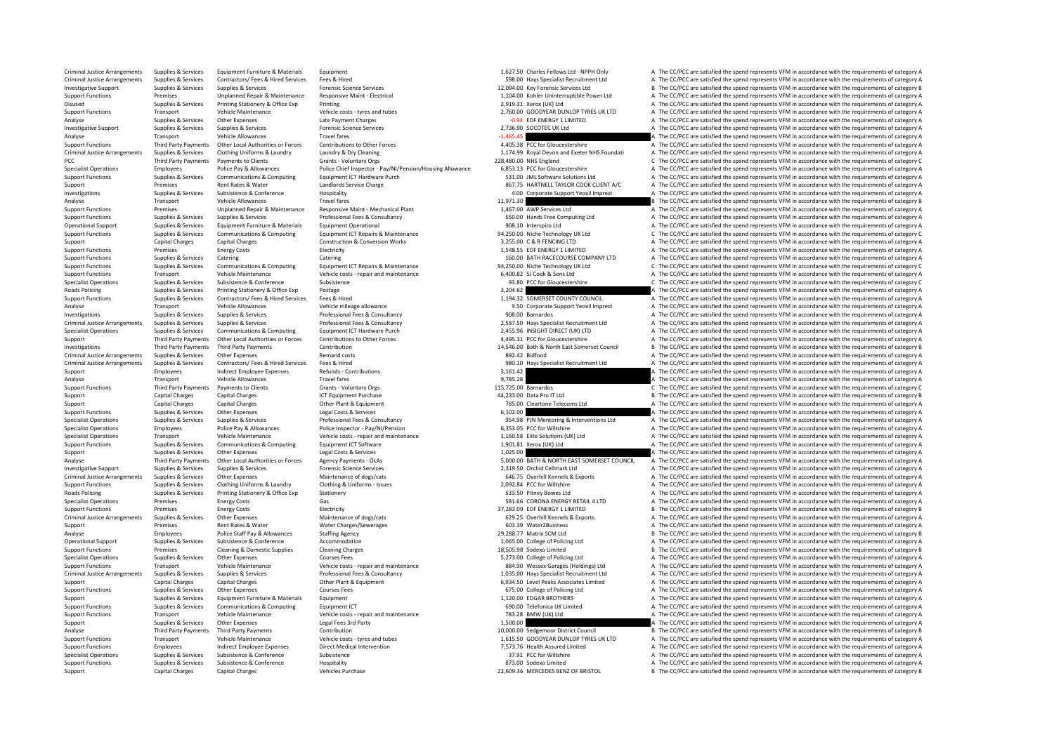Criminal Justice Arrangements Supplies & Services Equipment Furniture & Materials Equipment Equipment Equipment<br>Criminal Justice Arrangements Supplies & Services Contractors/Fees & Hired Services Fees & Hired Services Fees Contractors/Fees & Hired Services Fees & Hired Services Fees & Hired Services Fees & Hired Services Fees & Hired Services Fees & Hired Services Changes Contractors/Fees & Hired Services The Contractors/Fees & Hired Service 12094.00 Experiment University of Burgerian Supplies & Services Supplies & Services Supplies & Services Supplies & Services Forensic Science Services (PCC) are still be pend represents of category B and the requirements of Support Functions Premises Unplanned Repair & Maintenance Responsive Maint - Electrical and the state of the CONCENT ACTIVE Power Ltd A The CC/PCC are satisfied the spend represents VFM in accordance with the requirements Disused Supplies & Services Printing Stationery & Office Exp Printing Printing Printing Printing Printing Printing 2,919.31 Xerox (UK) Ltd A The CC/PCC are satisfied the spend represents VFM in accordance with the requirem Transport Vehicle Maintenance Vehicle costs ‐ tyres and tubes 2,760.00 GOODYEAR DUNLOP TYRES UK LTD A The CC/PCC are satisfied the spend represents VFM in accordance with the requirements of category A Analyse Supplies & Services Other Expenses Late Payment Charges Late Payment Charges Late Payment Charges Late Payment Charges Late Payment Charges Charges Charges Late Requirements of category A The CC/PCC are satisfied t A The CC/PCC are satisfied the spend represents VFM in accordance with the requirements of category A Analyse Transport Vehicle Allowances Travel fares Travel fares Travel fares and the Form of the CC/PCC are satisfied the spend represents VFM in accordance with the requirements of category A Third Party Parments of catego Sunnort Euncritors Third Party Payments Other Incal Authorities or Forces Contributions to Other Forces and the Contribution of the Forces of the CONTECT of Sunnort Contribution of the CONTECT of Sunnort Contribution of th Criminal Justice Arrangements Supplies & Services Clothing Uniforms & Laundry Laundry Baundry Coleraing Criminal Justice Arrangements of the CC/PCC are satisfied the spend represents VFM in accordance with the requirements PCC Third Party Payments Payments of Clients Grants - Voluntary Orgs 228,480.00 NHS England C The CC/PCC are satisfied the spend represents VFM in accordance with the requirements of category C<br>Specialist Operations Figure Specialist Operations Employees Employees Police Pay & Allowances Police Chef Inspector - Pay/NI/Pension/Housing Allowance 6,853.13 PCC for Gloucestershire A The CC/PCC are satisfied the spend represents VFM in accordance Support Functions Supplies & Services Communications & Computing Equipment ICT Hardware Purch 5000 SALE COMES COMES ARE CONCORDING SALE AND A THE CONCORDER A THE CONCORDER SERVICE OF SUPPORT AND THE CONCORDER SERVICE OF SU Support Premises Rent Rates & Water Landlords Service Charge Landlords Service Charge 867.75 HARTNELL TAYLOR COOK CLIENT A/C A The CC/PCC are satisfied the spend represents VFM in accordance with the requirements of catego Investigations Supplies & Services Subsistence & Conference Hospitality 4.00 Corporate Support Yeovil Imprest <sup>A</sup> The CC/PCC are satisfied the spend represents VFM in accordance with the requirements of category A Analyse Transport Vehicle Allowances Travel fares Travel fares 11,971.30 B The CC/PCC are satisfied the spend represents VFM in accordance with the requirements of category B Support Functions Premises Unplanned Repair & Maintenance Responsive Maint – Mechanical Plant 1,467.00 AWP Services Ltd A The CC/PCC are satisfied the spend represents VFM in accordance with the requirements of category A Supplies & Services Support Functions Professional Fees & Consultancy Consultancy 550.00 Hands Free Computing Ltd A The CC/PCC are satisfied the spend represents VFM in accordance with the requirements of category A The Cr Operational Support Supplies & Services Equipment Furniture & Materials Equipment Operational equipment Operational 908.10 Interspiro Ltd A The CC/PCC are satisfied the spend represents VFM in accordance with the requireme Support Functions Supplies & Services Communications & Computing Equipment ICT Repairs & Maintenance and the man of the CONCES of the CONCC are satisfied the spend represents VFM in accordance with the requirements of cate Support Capital Charges Capital Charges Capital Charges Construction & Conversion Works 3,255.00 C & R FENCING LTD A The CC/PCC are satisfied the spend represents VFM in accordance with the requirements of category A Support Functions Premises Energy Costs Electricity Electricity Electricity Electricity Electricity 1,548.55 EDF ENERGY 1 LIMITED A The CC/PCC are satisfied the spend represents VFM in accordance with the requirements of c Support Functions Supplies & Services Catering Catering Catering Catering Catering Catering Catering Catering Catering Catering Catering Catering Catering Support The CC/PCC are satisfied the spend represents VFM in accord C The CC/PCC are satisfied the spend represents VFM in accordance with the requirements of category C Support Functions Transport Vehicle Maintenance Vehicle costs ‐ repair and maintenance Vehicle costs • repair and maintenance a Sons Ltd A The CC/PCC are satisfied the spend represents VFM in accordance with the requiremen Specialist Operations Supplies & Services Subsistence Subsistence Subsistence Subsistence 93.80 PCC for Gloucestershire C The CC/PCC are satisfied the spend represents VFM in accordance with the requirements of category C Roads Policing Supplies & Services Printing Stationery & Office Exp Postage 3,204.62 A The CC/PCC are satisfied the spend represents VFM in accordance with the requirements of category A The CC/PCC are satisfied the spend Support Functions Supplies & Services Contractors/ Fees & Hired Services Fees & Hired 1,194.32 SOMERSET COUNTY COUNCIL A The CC/PCC are satisfied the spend represents VFM in accordance with the requirements of category A Analyse Transport Vehicle Allowances Vehicle mileage allowance Vehicle mileage allowance Vehicle mileage allowance Vehicle mileage allowance Support Veo Vehicle mileage allowance Support Veo Vehicle mileage allowance Suppo Investigations Supplies & Services Supplies & Services Professional Fees & Consultancy Professional Fees & Consultancy 908.00 Barnardos A The CC/PCC are satisfied the spend represents VFM in accordance with the requirement Criminal Justice Arrangements Supplies & Services Supplies & Services Professional Fees & Consultancy Professional Fees & Consultancy 2,587.50 Hays Specialist Recruitment Ltd A The CC/PCC are satisfied the spend represents A The CC/PCC are satisfied the spend represents VEM in accordance with the requirements of category A Third Party Payments Other Local Authorities or Forces Contributions to Other Forces Contributions Content Content Content Content Content Content Content Content Content Content Content Content Content Content Content Con Investigations Third Party Payments Third Party Payments Contribution 14,546.00 Bath & North East Somerset Council B The CC/PCC are satisfied the spend represents VFM in accordance with the requirements of category B Crimi A The CC/PCC are satisfied the spend represents VFM in accordance with the requirements of category A Criminal lustice Arrangements Supplies & Services Contractors/ Fees & Hired Services Fees & Hired Services Fees & Hired Services Fees & Hired Services Fees & Hired Services Supplied the Service of the CONSTANTS of CONSTANT Support Employees andirect Employee Expenses Refunds - Contributions Refunds - Contributions Refunds - Contributions 3,161.42 A The CC/PCC are satisfied the spend represents VFM in accordance with the requirements of categ Travel fares of the CC/PCC are satisfied the spend represents VFM in accordance with the requirements of category A<br>Grants - Voluntary Ores 115.725.00 Barnardos (The CC/PCC are satisfied the spend represents VFM in accorda Support Functions Third Party Payments Payments to Clients Grants - Voluntary Orgs 6 C The CS 2000 Barnardos C The CC/PCC are satisfied the spend represents VFM in accordance with the requirements of category C Support Capital Charges Capital Charges Capital Charges Capital Charges ICT Equipment Purchase 12 Data Pro IT Ltd B The COPCC are satisfied the spend represents VFM in accordance with the requirements of category B The COP Support Capital Charges Capital Charges Other Plant & Equipment 785.00 Cleartone Telecoms Ltd A The CC/PCC are satisfied the spend represents VFM in accordance with the requirements of category A Support Functions Supplies & Services Other Expenses Legal Costs & Services Legal Costs & Services Costs & Services 6,102.00 A The CC/PCC are satisfied the spend represents VFM in accordance with the requirements of catego Supplies & Services Supplies & Services Supplies & Services Professional Fees & Consultancy Professional Fees & Consultancy Supplies A The CC/PCC are satisfied the spend represents VFM in accordance with the requirements o Specialist Operations Employees Police Pay & Allowances Police Inspector - Pay/NI/Pension 6,353.05 PCC for Wiltshire A The CC/PCC are satisfied the spend represents VFM in accordance with the requirements of category A The Specialist Operations Transport Transport Vehicle Maintenance Vehicle costs - repair and maintenance vehicle costs repair and maintenance and the maintenance of the CONCOM are satisfied the spend represents VFM in accordan Support Functions Supplies & Services Communications & Computing Equipment ICT Software 1,901.81 Xerox (IJK) Ltd A The CC/PCC are satisfied the spend represents VFM in accordance with the requirements of category A Support Support Support Other Expenses Legal Costs & Services Legal Costs & Services 2,025.00 A The CC/PCC are satisfied the spend represents VFM in accordance with the requirements of category A Third Party Payments Other Local Authorities or Forces Agency Payments - OLAS SANDA DESCALL A The CC/PCC are satisfied the spend represents VFM in accordance with the requirements of category A The Supplies & Services Supp Investigative Supprovestigative Supplies A Supplies A Service Supplies A Service Services A Service Services 2,<br>1999.50 Orchill Kennels & Exports A The CC/PCC are satisfied the spend represents VFM in accordance with the r Criminal Justice Arrangements Supplies & Services Other Expenses Maintenance of dogs/cats Maintenance of dogs/cats 646.75 Overhill Kennels & Exports A The CC/PCC are satisfied the spend represents VFM in accordance with th Support Functions Supplies & Services Clothing Uniforms & Laundry Clothing & Uniforms – Issues Support Functions 2,092.84 PCC for Wiltshire A The CC/PCC are satisfied the spend represents VFM in accordance with the require For Supplies Principles A The CC/PCC are satisfied the spend represents VFM in accordance with the requirements of category A The CC/PCC are satisfied the spend represents VFM in accordance with the requirements of categor Specialist Operations Premises Energy Costs Gas Gas 581.66 CORONA ENERGY RETAIL 4LTD A The CC/PCC are satisfied the spend represents VFM in accordance with the requirements of category A Support Functions Premises Energy C Support Functions Premises Energy Costs Electricity Electricity Electricity Electricity Electricity and the spend represents of category B The CC/PCC are satisfied the spend represents VFM in accordance with the requiremen Criminal lustice Arrangements Supplies & Services Other Expenses Maintenance of dogs/cats Maintenance of dogs/cats 629.25 Overhill Kennels & Exports A The CC/PCC are satisfied the spend represents VEM in accordance with th Support Premises Support Rent Rates & Water Water Water Charges/Sewerages A The CONCENT A The CONCENT A The CC/PCC are satisfied the spend represents VFM in accordance with the requirements of category B Analyse Charges Pr Analyse Employees Police Staff Pay & Allowances Staffing Agency and the Staff Pay & Allowances Staffing Agency<br>
29,288.77 Matrix SCM Ltd B The CC/PCC are satisfied the spend represents VFM in accordance with the requiremen A. The CC/PCC are satisfied the spend represents VFM in accordance with the requirements of category A Support Functions Premises Cleaning & Domestic Supplies Cleaning Charges Cleaning Charges 18,505.98 Sodexo Limited B The CC/PCC are satisfied the spend represents VFM in accordance with the requirements of category B Specialist Operations Supplies & Services Other Expenses Courses Fees Courses Fees The Services Courses Fees Services Courses Fees The CC/PCC are satisfied the spend represents VFM in accordance with the requirements of ca Support Functions Transport Vehicle Maintenance Vehicle costs - repair and maintenance Vehicle costs - repair and maintenance vehicle costs - repair and maintenance 884.90 Wessex Garages (Holdings) Ltd A The CC/PCC are sat Criminal Justice Arrangements Supplies & Services Supplies & Services Professional Fees & Consultancy Professional Fees & Consultancy and the mass of the COPCC are satisfied the spend represents VFM in accordance with the Support Capital Charges Capital Charges Capital Charges Other Plant & Equipment Courses Fees Courses Courses Courses Courses Fees and Courses Fees and Courses Courses Courses Courses Courses Courses Courses Courses Courses Support Functions Supplies & Services Other Expenses Courses Courses Courses Courses Courses Courses Courses Courses Courses Courses Courses Courses Courses Courses Courses Courses Courses 675.00 College of Policing Ltd A Support Support Supplies & Services Equipment Furniture & Materials Equipment Equipment Equipment 1,120.00 EDGAR BROTHERS A The CC/PCC are satisfied the spend represents VFM in accordance with the requirements of category Support Functions Supplies & Services Communications & Computing Equipment ICT examples and the spend of the COMPUT are satisfied A The CC/PCC are satisfied the spend represents VFM in accordance with the requirements of c Support Functions Transport Vehicle Maintenance Vehicle costs - repair and maintenance 783.28 BMW (UK) Ltd A The CC/PCC are satisfied the spend represents VFM in accordance with the requirements of category A Support Supplies & Services Other Expenses Legal Fees 3rd Party 1,500.00 A The CC/PCC are satisfied the spend represents VFM in accordance with the requirements of category A The CL/PCC are satisfied the spend represents V Analyse Third Party Payments Third Party Payments Contribution 10,000.00 Sedgemoor District Council B The CC/PCC are satisfied the spend represents VFM in accordance with the requirements of category B Support Functions Transport Vehicle Maintenance Vehicle costs – tyres and tubes 1,615.50 GOODYEAR DUNLOP TYRES UK LTD A The CC/PCC are satisfied the spend represents VFM in accordance with the requirements of category A Th Support Functions Employees Indirect Employee Expenses Direct Medical Intervention Direct Medical Intervention<br>
Support Functions Support Functions Support Support Support Support Support Support Support Support Support Su Specialist Operations Supplies & Services Subsistence & Conference Subsistence 37.91 PCC for Wiltshire <sup>A</sup> The CC/PCC are satisfied the spend represents VFM in accordance with the requirements of category A Support Functions Supplies & Services Subsistence Support Conference and Hospitality Hospitality Basistence A Conference Hospitality 873.00 Sodexo Limited A The CC/PCC are satisfied the spend represents VFM in accordance w Support Capital Charges Capital Charges Vehicles Purchase Vehicles Purchase 22,609.36 MERCEDES BENZ OF BRISTOL B The CC/PCC are satisfied the spend represents VFM in accordance with the requirements of category B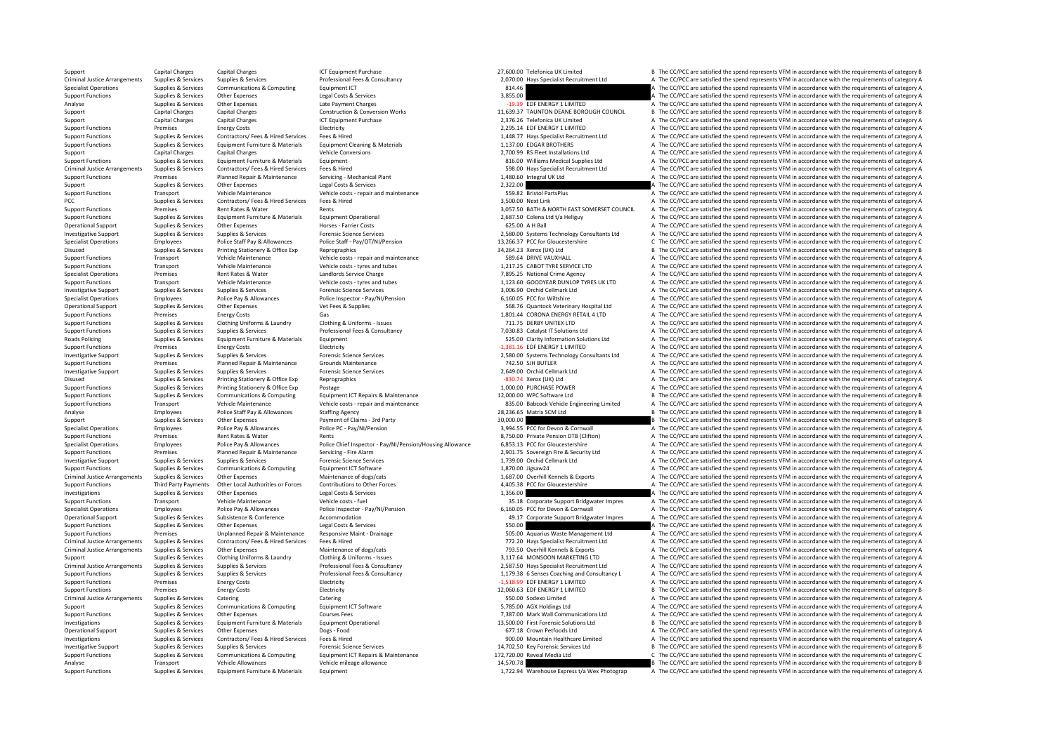Supplies & Services Equipment Furniture & Materials Equipment entity exprese to the CZ22.94 Warehouse Express t/a Wex Photograp A The CC/PCC are satisfied the spend represents VFM in accordance with the requirements of cat

Support Capital Charges Capital Charges Capital Charges ICT Equipment Purchase ICT Equipment Purchase 27,600.00 Telefonica UK Limited B The CC/PCC are satisfied the spend represents VFM in accordance with the requirements Supplies & Services Supplies & Services Professional Fees & Consultancy Professional Fees & Consultancy Professional Fees & Consultancy 2070.00 Hays Specialist Recruitment Ltd A The CC/PCC are satisfied the spend represent Specialist Operations Supplies & Services Communications & Computing Equipment ICT Equipment ICT 814.46 A The CC/PCC are satisfied the spend represents VFM in accordance with the requirements of category A The CC/PCC are s Support Functions Supplies & Services Other Expenses Legal Costs & Services Legal Costs & Services Legal Costs & Services Support Functions and the CC/PCC are satisfied the spend represents VFM in accordance with the requi Analysis Supplies Analysis Supplies Services Other Expenses Late Payment Charges Late Payment Charges Late Payment Charges Late Payment Charges Late Payment Charges Late Payment Charges Late Payment Charges Construction & Support Capital Charges Capital Charges Capital Charges Construction & Conversion Works 11,639.37 TAUNTON DEANE BOROUGH COUNCIL B The CC/PCC are satisfied the spend represents VFM in accordance with the requirements of cat Support Capital Charges Capital Charges Capital Charges Capital Charges ICT Equipment Purchase 2,376.26 Telefonica UK Limited A The CC/PCC are satisfied the spend represents VFM in accordance with the requirements of categ A The CC/PCC are satisfied the spend represents VFM in accordance with the requirements of category A Support Functions Supplies & Services Contractors/Fees & Hired Services Fees & Hired Services Fees & Hired Services Fees & Hired Materials and the Services of the COPCC are satisfied the specialist Recruitment Lite and rep Sumplex Services Fundament Furniture & Materials Fundament Cleaning & Materials and Development Cleaning & Materials 113700 EDGAR BROTHERS A The CC/PCC are satisfied the spend represents VEM in accordance with the requirem Support Capital Charges Capital Charges 2,200 Vehicle Conversions 2,200 Conversions 2,200.99 RS Fleet Installations Ltd A The CC/PCC are satisfied the spend represents VFM in accordance with the requirements of category A Support Functions Supplies & Services Equipment Furniture & Materials Equipment Equipment Equipment Bunctions Equipment and Equipment and the Stategory and the Stategory A The CC/PCC are satisfied the spend represents VFM Criminal Justice Arrangements Supplies & Services Contractors/ Fees & Hired Services Fees & Hired Services Fees & Hired Services Fees & Hired Services Fees & Hired Services Fees & Hired Services Fees & Hired Services Provi Support Functions Premises Planned Repair & Maintenance Servicing - Mechanical Plant 1,480.60 Integral UK Ltd A The CC/PCC are satisfied the spend represents VFM in accordance with the requirements of category A The CC/PCC Support Support Supplies & Services Other Expenses Legal Costs & Services 2,322.00 A The CC/PCC are satisfied the spend represents VFM in accordance with the requirements of category A Transport of the Support Costs and th Transport Vehicle Maintenance Vehicle costs ‐ repair and maintenance 559.82 Bristol PartsPlus A The CC/PCC are satisfied the spend represents VFM in accordance with the requirements of category A PCC Supplies & Services Contractors/ Fees & Hired Services Fees & Hired Services Fees & Hired 3,500.00 Next Link 3,500.00 Next Link A The CC/PCC are satisfied the spend represents VFM in accordance with the requirements of Support Functions and Premises Rent Rates & Water Rents Rents Rents Rents Rents Rents Rents Analysis Rents Rents Rents Rents Rents Rents Rents Rents Rents Rents Rents Rents Rents Rents Rents Functional Americans Category A A The CC/PCC are satisfied the spend represents VEM in accordance with the requirements of category A Operational Support Supplies & Services Other Expenses Horses - Farrier Costs Horses - Farrier Costs 625.00 A H Ball A The CC/PCC are satisfied the spend represents VFM in accordance with the requirements of category A The Investigative Support Supplies & Services Supplies & Services Forensic Science Services 2,580.00 Systems Technology Consultants Ltd <sup>A</sup> The CC/PCC are satisfied the spend represents VFM in accordance with the requirements of category A Frankly example and research the Captace of the COPCC are staff and the requirements of category C are the COPCC are satisfied the spend represents VFM in accordance with the requirements of category C Disused Supplies & Services Printing Stationery & Office Exp Reprographics and Reprographics and Maintenance and the Supplies and District A The CC/PCC are satisfied the spend represents VFM in accordance with the requirem Support Transport Vehicle Maintenance Vehicle costs ‐ repair and maintenance Samples and the CONCE ALL A The CC/PCC are satisfied the spend represents VFM in accordance with the requirements of category A The CONCE are sat Transport Vehicle Maintenance Vehicle costs ‐ tyres and tubes 1,217.25 CABOT TYRE SERVICE LTD A The CC/PCC are satisfied the spend represents VFM in accordance with the requirements of category A Specialist Operations Premises Rent Rates & Water Landlords Service Charge Landlords Service Charge 1,123.60 GODYEAR DUNLOP TYRES UKLIT A The CC/PCC are satisfied the spend represents VFM in accordance with the requirement Support Functions Transport Vehicle Maintenance Vehicle costs ‐ tyres and tubes 1,123.60 GOODYEAR DUNLOP TYRES UK LTD A The CC/PCC are satisfied the spend represents VFM in accordance with the requirements of category A Investigative Support Supplies & Services Supplies & Services Forensic Science Services Forensic Science Services Services A The CC/PCC are satisfied the spend represents VFM in accordance with the requirements of category Specialist Operations Employees Police Pay & Allowances Police Inspector - Pay/NI/Pension 6,160.05 PCC for Wiltshire A The CC/PCC are satisfied the spend represents VFM in accordance with the requirements of category A Operational Support Supplies & Services Other Expenses Vet Fees & Supplies Vet Fees & Supplies 568.76 Quantock Veterinary Hospital Ltd A The CC/PCC are satisfied the spend represents VFM in accordance with the requirements Support Functions Premises Energy Costs Gas Gas Gas Conting & Uniforms - Issues Gas 1,801.44 CORONA ENERGY RETAIL 4 LTD A The CC/PCC are satisfied the spend represents VFM in accordance with the requirements of category A Support Functions Supplies & Services Clothing Uniforms & Laundry Clothing & Uniforms – Issues 2008 Clothing A The CC/PCC are satisfied the spend represents VFM in accordance with the requirements of category A The Criters A The CC/PCC are satisfied the spend represents VEM in accordance with the requirements of category A Roads Policing Supplies & Services Equipment Furniture & Materials Equipment Equipment 525.00 Clarity Information Solutions Ltd A The CC/PCC are satisfied the spend represents VFM in accordance with the requirements of cat Support Functions Premises Energy Costs Energy Costs Electricity Electricity Electricity Electricity energy Electricity energy and the spend represents Understanding Consultants Ltd A The CC/PCC are satisfied the spend rep Supplies & Services Forensic Science Services **Exercises Consumer Services** 2,580.00 Systems Technology Consultants Ltd A The CC/PCC are satisfied the spend represents VFM in accordance with the requirements of category A Support Functions Premises Planned Repair & Maintenance Grounds Maintenance 742.50 SUBUTLER A The CC/PCC are satisfied the spend represents VFM in accordance with the requirements of category A Investigative Support Supplies & Services Supplies & Services Services Forensic Science Services Proteins Coren<br>
2,649.00 Orchid Cellmark Ltd A The CC/PCC are satisfied the spend represents VFM in accordance with the requi PHE CC/PCC are satisfied the spend represents VFM in accordance with the requirements of category A The CC/PCC are satisfied the spend represents VFM in accordance with the requirements of category A The CC/PCC are satis Support Functions Supplies & Services Printing Stationery & Office Exp Postage Protage Postage 1,000.00 PURCHASE POWER A The CC/PCC are satisfied the spend represents VFM in accordance with the requirements of category A S Support Functions Supplies & Services Communications & Computing Equipment ICT Repairs & Maintenance enter and the contenue of the COPCC are satisfied the spend represents VFM in accordance with the requirements of categor Transport Vehicle Maintenance Vehicle costs - repair and maintenance and asset and maintenance ass assume ass assumed asset assock Vehicle Engineering Limited A The CC/PCC are satisfied the spend represents VFM in accordan Analyse Employees Police Staff Pay & Allowances Staffing Agency 28,236.65 Matrix SCM Ltd B The CC/PCC are satisfied the spend represents VFM in accordance with the requirements of category B Support Supplies & Services Other Expenses Payment of Claims – 3rd Party and Party and the Support of Claims and Party and the Support of Claims and Party and the Support of the Support of the Support of the Support of the Specialist Operations Employees Police Pay & Allowances Police PC - Pay/NI/Pension 2012 10:00 10:00 10:00 10:00 10:00 10:00 10:00 10:00 10:00 10:00 10:00 10:00 10:00 10:00 10:00 10:00 10:00 10:00 10:00 10:00 10:00 10:00 10 Support Functions Premises Rent Rates & Water Rents Rents Rents Rents Rents Rents Rents Rents Rents Rents Rents Rents Rents Rents Rents Rents Rents Rents Reprime a STS0.00 Private Pension DTB (Clifton) A The CC/PCC are sat Specialist Operations Employees Police Pay & Allowances Police Chief Inspector - Pay/NI/Pension/Housing Allowance 6.853.13 PCC for Gloucestershire A The CC/PCC are satisfied the spend represents VFM in accordance with the Support Functions Premises Planned Repair & Maintenance Servicing - Fire Alarm 2,901.75 Sovereign Fire & Security Ltd A The CC/PCC are satisfied the spend represents VFM in accordance with the requirements of category A Investigative Support Supplies & Services Supplies & Services Forensic Science Services Forensic Science Services Forensic Science Services Forensic Science Services Forencies Computing Equipment ICT Software 1,870.00 Jigs Support Functions Support Functions Supplies A The CC/PCC are satisfied the spend represents VFM in accordance with the requirements of category A The CC/PCC are satisfied the spend represents VFM in accordance with the re Criminal Justice Arrangements Supplies & Services Other Expenses Maintenance of dogs/cats Maintenance of dogs/cats Maintenance of dogs/cats 1,687.00 Overhill Kennels & Exports A The CC/PCC are satisfied the spend represent Support Functions Third Party Payments Other Local Authorities or Forces Contributions to Other Forces Contributions to Other Forces and the CONCES ACC for Gloucestershire and The CC/PCC are satisfied the spend represents Inversions A The CC/PCC are satisfied the spend represents VFM in accordance with the requirements of category A<br>35.18 Corporate Support Bridgwater Impres A The CC/PCC are satisfied the spend represents VFM in accordance w Support Functions Transport Vehicle Maintenance Vehicle costs – fuel Vehicle costs – fuel and a state of the Corporate Support Bridgwater Impres A The CC/PCC are satisfied the spend represents VFM in accordance with the re Specialist Operations Employees Police Pay & Allowances Police Inspector - Pay/N/Pension Performance and CASCOS PCC for Devon & Commall A The CC/PCC are satisfied the spend represents VFM in accordance with the requirement Operational Support Supplies & Services Subsistence Accommodation Accommodation 49.17 Corporate Support Bridgwater Impres A The CC/PCC are satisfied the spend represents VFM in accordance with the requirements of category Support Functions Supplies & Services Other Expenses Legal Costs & Services Support Expenses Legal Costs & Services Services Support Functions A The CC/PCC are satisfied the spend represents VFM in accordance with the requ Support Functions Premises Unplanned Repair & Maintenance Responsive Maint - Drainage Support Functions Drainagement Ltd A The CC/PCC are satisfied the spend represents VFM in accordance with the requirements of category A Criminal Justice Arrangements Supplies & Services Contractors/Fees & Hired Services Fees & Hired Maintenance of ones/cates The CONCOMENT MANUSTRIES ARRENGED THE CONCORDIST ATHE CONCORRENGER ARRENGER Criminal Justice Arrang Supplies & Services Other Expenses Maintenance of dogs/cats Maintenance of dogs/cats and the COSCO are as a metally and the COPCC are satisfied the spend represents VFM in accordance with the requirements of category A The Support Support Support Supplies & Services Clothing Uniforms & Laundry Clothing & Uniforms – Issues Clothing & Uniforms – Issues Support and the Services Category A The CC/PCC are satisfied the spend represents VFM in acc Supplies & Supplies & Services Supplies & Services Professional Fees & Consultancy Casas and the metal of the SEC/PCC are satisfied the spend represents VFM in accordance with the requirements of category A Supplies & Services Supplies & Services Supplies & Services Professional Fees & Consultancy Consultancy and Consultance Consultancy and Consultancy Late CC/PCC are satisfied the spend represents VFM in accordance with the Support Functions Premises Energy Costs Electricity Electricity entity and the COSTS EDF ENERGY 1 LIMITED A The CC/PCC are satisfied the spend represents VFM in accordance with the requirements of category A Support Functi Support Functions Premises Energy Costs Electricity Electricity Electricity Electricity and the support Energy Costs EDF ENERGY 1 LIMITED B The CC/PCC are satisfied the spend represents VFM in accordance with the requireme Criminal Justice Arrangements Supplies & Services Catering Catering Catering Catering Catering Catering Catering Catering Catering Catering Catering Catering Catering Catering Catering Catering Catering SUDDICES SAN DESCRI Support Supplies & Services Communications & Computing Equipment ICT Software Equipment ICT Software 5,785.00 AGX Holdings Ltd A The CC/PCC are satisfied the spend represents VFM in accordance with the requirements of cate Support Functions Supplies & Services Other Expenses Courses Fees Courses Fees 7,387.00 Mark Wall Communications Ltd A The CC/PCC are satisfied the spend represents VFM in accordance with the requirements of category A 13,500.00 First Fraces Complement Burgens are the COPCC are satisfied the spend represents VFM in accordance with the requirements of category B (next burgens) and the complement of category B (next burgens) are complement A The CC/PCC are satisfied the spend represents VFM in accordance with the requirements of category A Investigations Supplies & Services Contractors/ Fees & Hired Services Fees & Hired Fees Bervices Fees & Hired 900.00 Mountain Healthcare Limited A The CC/PCC are satisfied the spend represents VFM in accordance with the re 11/02.50 Experiment Supplies & Services Supplies & Services Supplies & Services Forensic Science Services (Services Computer Services Computer Services Computer Services Computer Services Computer Services (17/02.50 Key Fo C The CC/PCC are satisfied the spend represents VFM in accordance with the requirements of category C Analyse Transport Vehicle Allowances Vehicle mileage allowance 14,570.78 B The CC/PCC are satisfied the spend represents VFM in accordance with the requirements of category B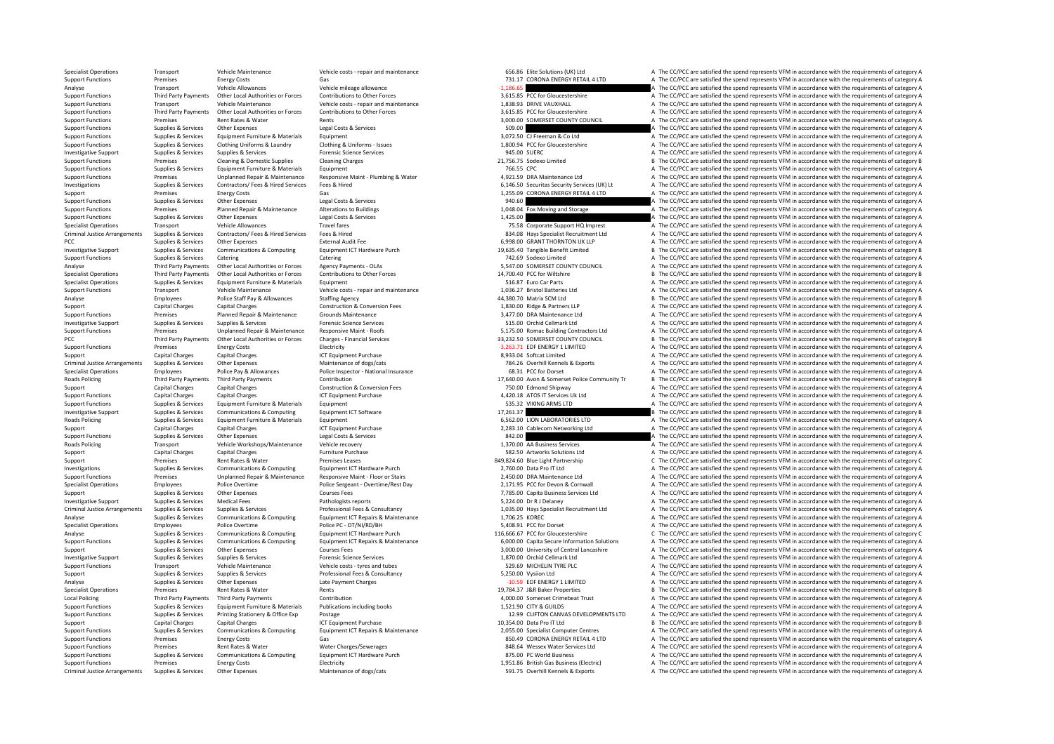Specialist Operations Transport Vehicle Maintenance Vehicle costs - repair and maintenance Vehicle costs - repair and maintenance 656.86 Elite Solutions (UK) Ltd A The CC/PCC are satisfied the spend represents VFM in accor Energy Costs Functions Cas Gas Gas Category A The CC/PCC are satisfied the spend represents VFM in accordance with the requirements of category A The CC/PCC are satisfied the spend represents VFM in accordance with the req Analyse Transport Vehicle Allowances Vehicle mileage allowance vehicle mileage allowance<br>
A The CC/PCC are satisfied the spend represents VFM in accordance with the requirements of category A Support<br>
Support Functions and Support Functions and CPCC are satisfied the spend represents VFM in accordance with the requirements of category A Third Party Payments of category A The CC/PCC are satisfied the spend represents VFM in accordance with th Support Functions Transport Vehicle Maintenance Vehicle costs ‐ repair and maintenance Vehicle costs • repair and maintenance 1,838.93 DRIVE VAUXHALL A The CC/PCC are satisfied the spend represents VFM in accordance with t A The CC/PCC are satisfied the spend represents VFM in accordance with the requirements of category A Support Functions Premises Rent Rates & Water Rents Rents Rents Rents Rents Rents Rents Rents Rents Rents Rents Rents Rents Rents Rents Rents Rents Rent Rents Rent Rents Rent Rents Rents Rents Rents Rents Rent Rents Rent R Support Functions Supplies & Services Other Expenses Legal Costs & Services 509.00 <sup>A</sup> The CC/PCC are satisfied the spend represents VFM in accordance with the requirements of category A Support Functions Supplies & Services Equipment Functions & Services Equipment Equipment Equipment and Equipment Equipment Equipment and Control of the Services Equipment Control of Control of Control of Control of Control Supplies & Services Clothing Uniforms & Laundry Clothing & Laundry Clothing Multiplates Containe Authority - Supplies and the CC/PCC are satisfied the spend represents VFM in accordance with the requirements of category A Investigative Support Supplies & Services Supplies & Services Support Science Services Support Science Services 945.00 SUERC A The CC/PC are satisfied the spend represents VFM in accordance with the requirements of categor Support Functions Premises Cleaning & Domestic Supplies Cleaning Charges Cleaning Charges Cleaning Charges 21,756.75 Sodexo Limited B The CC/PCC are satisfied the spend represents VFM in accordance with the requirements of Support Functions Supplies & Services Equipment Furniture & Materials Equipment Equipment Equipment Equipment Punctions and the CC/PCC are satisfied the spend represents VFM in accordance with the requirements of category Support Functions Premises Unplanned Repair & Maintenance Responsive Maint • Plumbing & Water 4,921.59 DRA Maintenance Ltd A The CC/PCC are satisfied the spend represents VFM in accordance with the requirements of category 1993 Investigations Supplies & Services Contractors/Fees & Hired Services Fees & Hired Enterity Artica Services (UK) Lt A The CC/PCC are satisfied the spend represents VFM in accordance with the requirements of category A Support Premises Energy Costs Gas Gas 1,255.09 CORONA ENERGY RETAIL 4 LTD A The CC/PCC are satisfied the spend represents VFM in accordance with the requirements of category A Support Functions Supplies & Services Other Expenses Legal Costs & Services Legal Costs & Services Legal Costs & Services 940.60 A The CC/PCC are satisfied the spend represents VFM in accordance with the requirements of ca Support Functions Premises Planned Repair & Maintenance Alterations to Buildings and Support Functions and Storage A The CC/PCC are satisfied the spend represents VFM in accordance with the requirements of category A The C Support Functions Support Functions Support Functions Support Functions A The CC/PCC are satisfied the spend represents VFM in accordance with the requirements of category A The Support HO imprest and the CC/PCC are satisf Specialist Operations Travel (PCC) are satisfied the spend represents VFM in accordance with the requirements of category A The CC/PCC are satisfied the spend represents VFM in accordance with the requirements of category Criminal Justice Arrangements Supplies & Services Contractors/Fees & Hired Supplies Contractors/Fees & Hired Services Fees & Hired Services Fees & Hired Street Microsoft Criminal Justice Arrangements of category A The CC/P PCC Supplies & Services Other Expenses External Audit Fee 6,998.00 GRANT THORNTON UK LLP A The CC/PCC are satisfied the spend represents VFM in accordance with the requirements of category A Investigative Support Supplies & Services Communications & Computing Equipment ICT Hardware Purch 19,635.40 Tangible Benefit Limited Burch Burch Burch Burch Burch Burch Burch Burch Support Functions Supplies & Services Cat Supplies & Services Catering Catering Catering Catering Catering Catering Catering Catering Catering Catering Catering Catering and the CC/PCC are satisfied the spend represents VFM in accordance with the requirements of c Analyse Third Party Payments Other Local Authorities or Forces Agency Payments - OLAs 5,547.00 SOMERSET COUNTY COUNCIL A The CC/PCC are satisfied the spend represents VFM in accordance with the requirements of category A Specialist Operations Third Party Payments Other Local Authorities or Forces Contributions to Other Forces Contributions to Other Forces and the special of Capacity of Decletor Burgon B The CC/PCC are satisfied the spend r Specialist Operations Supplies & Services Equipment Furniture & Materials Equipment Euro Equipment 516.87 Euro Car Parts A The CC/PCC are satisfied the spend represents VFM in accordance with the requirements of category A Support Transport Vehicle Maintenance Vehicle costs ‐ repair and maintenance 1,036.27 Bristol Batteries Ltd A The CC/PCC are satisfied the spend represents VFM in accordance with the requirements of category A The A The Cr Analyse Employees Police Staff Pay & Allowances Staffing Agency 44,380.70 Matrix SCM Ltd B The CC/PCC are satisfied the spend represents VFM in accordance with the requirements of category B Support Capital Charges Capital Charges Construction & Conversion Fees 1,830.00 Ridge & Partners LLP A The CC/PCC are satisfied the spend represents VFM in accordance with the requirements of category A Support Functions Premises Premises Planned Repair & Maintenance Grounds Maintenance Grounds Maintenance Services Supplies & Services Functions Premises Supplies & Services Functions Premisic Science Services Functions and Investigative Support Supplies & Services Supplies & Services Forensic Science Services Forensic Science Services 515.00 Orchid Cellmark Ltd A The CC/PCC are satisfied the spend represents VFM in accordance with the requir Support Functions Premises Unplanned Repair & Maintenance Responsive Maint - Roofs 5,175.00 Romac Building Contractors Ltd A The CC/PCC are satisfied the spend represents VFM in accordance with the requirements of category PCC Third Party Payments Other Local Authorities or Forces Charges - Financial Services 2002 2012 2013 2013 2013 2013 33,232.50 SOMERSET COUNTY COUNCIL B The CC/PCC are satisfied the spend represents VFM in accordance with Support Functions Premises Energy Costs Electricity Electricity **Electricity Electricity Electricity energy Costs**<br>
Support A The CC/PCC are satisfied the spend represents VFM in accordance with the requirements of categor Support Capital Charges Capital Charges Capital Charges ICT Equipment Purchase ICT Equipment Purchase 8,933.04 Softcat Limited A The CC/PCC are satisfied the spend represents VFM in accordance with the requirements of cate Criminal Justice Arrangements Supplies & Services Other Expenses Maintenance of dogs/cats Maintenance of dogs/cats 784.26 Overhill Kennels & Exports A The CC/PCC are satisfied the spend represents VFM in accordance with th Specialist Operations Employees Police Pay & Allowances Police Inspector - National Insurance 68.31 PCC for Dorset A The CC/PCC are satisfied the spend represents VFM in accordance with the requirements of category A The A Contribution 17,640.00 Avon & Somerset Police Community Tr B The CC/PCC are satisfied the spend represents VFM in accordance with the requirements of category B<br>Third Party 250.00 Fidmond Shinway A The CC/PCC are satisfie Support Capital Charges Capital Charges Construction & Construction & Conversion Fees 750.00 Edmond Shipway A The CC/PCC are satisfied the spend represents VFM in accordance with the requirements of category A Support Functions Capital Charges Capital Charges Capital Charges ICT Equipment Purchase ICT Equipment Purchase<br>
Support Functions Supplies & Services Equipment Furniture & Materials Equipment Purchase Equipment Purchase E Support Functions Supplies & Services Equipment Furniture & Materials Equipment 535.32 VIKING ARMS LTD <sup>A</sup> The CC/PCC are satisfied the spend represents VFM in accordance with the requirements of category A Investigative Support Supplies & Services Communications & Computing Equipment ICT Software Equipment ICT Software 17,261.37 B The CC/PCC are satisfied the spend represents VFM in accordance with the requirements of catego Roads Policing Supplies & Services Equipment Furniture & Materials Equipment Equipment and the stategory A The CC/PCC are satisfied the spend represents VFM in accordance with the requirements of category A Support Capital Charges Capital Charges ICT Equipment Purchase 2,283.10 Cablecom Networking Ltd A The CC/PCC are satisfied the spend represents VFM in accordance with the requirements of category A Support Functions Supplies & Services Other Expenses Legal Costs & Services Legal Costs & Services Legal Costs & Services 842.00 A The CC/PCC are satisfied the spend represents VFM in accordance with the requirements of ca Roads Policing Transport Vehicle Workshops/Maintenance Vehicle recovery 1,370.00 AA Business Services A The CC/PCC are satisfied the spend represents VFM in accordance with the requirements of category A Support Capital Charges Capital Charges Furniture Purchase 582.50 Artworks Solutions Ltd A The CC/PCC are satisfied the spend represents VFM in accordance with the requirements of category A Support Premises Rent Rates & Water Premises Leases Premises Leases Premises Leases 849,824.60 Blue Light Partnership C The CC/PCC are satisfied the spend represents VFM in accordance with the requirements of category C In Investigations Supplies & Services Communications & Computing Equipment ICT Hardware Purch 2,760.00 Data Pro IT Ltd A The CC/PCC are satisfied the spend represents VFM in accordance with the requirements of category A The Premises Unplanned Repair & Maintenance Responsive Maint ‐ Floor or Stairs 2,450.00 DRA Maintenance Ltd A The CC/PCC are satisfied the spend represents VFM in accordance with the requirements of category A Specialist Operations Employees Police Overtime Police Sergeant - Overtime/Rest Day 2,171.95 PCC for Devon & Cornwall A The CC/PCC are satisfied the spend represents VFM in accordance with the requirements of category A Th Support Supplies & Services Other Expenses Courses Fees Courses Fees 7,785.00 Capita Business Services Itd A The CC/PCC are satisfied the spend represents VFM in accordance with the requirements of category A Investigative Support Support Support Supports Medical Fees Medical Fees Pathologists reports Pathologists reports a Pathologists reports a Democrative Services Medical Fees Pathologists reports a Democratizative Medical F Criminal Justice Arrangements Supplies & Services Supplies & Services Professional Fees & Consultancy Professional Fees & Consultancy 1,035.00 Hays Specialist Recruitment Ltd A The CC/PCC are satisfied the spend represents Analyse Supplies & Services Communications & Computing Foulpment ICT Repairs & Maintenance 1,706.25 KOREC A The CC/PCC are satisfied the spend represents VFM in accordance with the requirements of category A Specialist Operations Employees Police Overtime Police PC · OT/NI/RD/BH Police PC · OT/NI/RD/BH 5,408.91 PCC for Dorset A The CC/PCC are satisfied the spend represents VFM in accordance with the requirements of category C<br> Analyse Supplies & Services Communications & Computing Equipment ICT Hardware Purch 116,666.67 PCC for Gloucestershire C The CC/PCC are satisfied the spend represents VFM in accordance with the requirements of category C S A The CC/PCC are satisfied the spend represents VEM in accordance with the requirements of category A Support Support Supportes Services Other Expenses Support Courses Fees 3,000.00 University of Central Lancashire A The CC/PCC are satisfied the spend represents VFM in accordance with the requirements of category A Investigative Support Supplies & Services Supplies & Services Forensic Science Services Forensic Science Services 1,870.00 Orchid Cellmark Ltd A The CC/PCC are satisfied the spend represents VFM in accordance with the requ Support Functions Transport Vehicle Maintenance Vehicle costs - tyres and tubes 529.69 MICHELIN TYRE PLC A The CC/PCC are satisfied the spend represents VFM in accordance with the requirements of category A Support Supplies & Services Supplies & Services Supplies & Services Professional Fees & Consultancy Professional Fees & Consultancy Support Consultancy and the CC/PCC are satisfied the spend represents VFM in accordance wi Analyse Supplies & Services Other Expenses Late Payment Charges Late Payment Charges Late Payment Charges Late Payment Charges **A The CC/PCC are satisfied the spend represents VFM in accordance with the requirements of cat** Premises Rent Rates & Water Rents Rents Rents Rents Rents Rents Rent Rents Rent Rents Rents Rents Rents Rents Rent Rents Rents 19,784.37 J&R Baker Properties B The CC/PCC are satisfied the spend represents VFM in accordanc Local Policing Third Party Payments Third Party Payments Contribution Contribution 4,000.00 Somerset Crimebeat Trust A The CC/PCC are satisfied the spend represents VFM in accordance with the requirements of category A Support Functions Supplies & Services Equipment Furniture & Materials Publications including books 1,521.90 CITY & GUILDS A The CC/PCC are satisfied the spend represents VFM in accordance with the requirements of category Support Functions Supplies & Services Printing Stationery & Office Exp Postage 12.99 CLIFTON CANVAS DEVELOPMENTS LTD A The CC/PCC are satisfied the spend represents VFM in accordance with the requirements of category A Support Capital Charges Capital Charges Capital Charges ICT Equipment Purchase 10,354.00 Data Pro IT Ltd B The CC/PCC are satisfied the spend represents VFM in accordance with the requirements of category B Support Functio A The CC/PCC are satisfied the spend represents VFM in accordance with the requirements of category A Support Functions Premises Energy Costs Gas Gas Gas Support Functions and the CC/PCC are satisfied the spend represents VFM in accordance with the requirements of category A The CC/PCC are satisfied the spend represents VF Support Functions Premises Rent Rates & Water Water Charges/Sewerages and a the CONCES Rent Rates and the CONCES Rent Rates and the content of category A The CC/PCC are satisfied the spend represents VFM in accordance with Support Functions Supplies & Services Communications & Computing Equipment ICT Hardware Purch 875.00 PC World Business <sup>A</sup> The CC/PCC are satisfied the spend represents VFM in accordance with the requirements of category A Support Functions Premises Functions Electricity Electricity 1,951.86 British Gas Business (Electricity 1,951.86 British Gas Business (Electricity A The CC/PCC are satisfied the spend represents VFM in accordance with the Criminal Justice Arrangements Supplies & Services Other Expenses Maintenance of dogs/cats Maintenance of dogs/cats Maintenance of dogs/cats 591.75 Overhill Kennels & Exports A The CC/PCC are satisfied the spend represents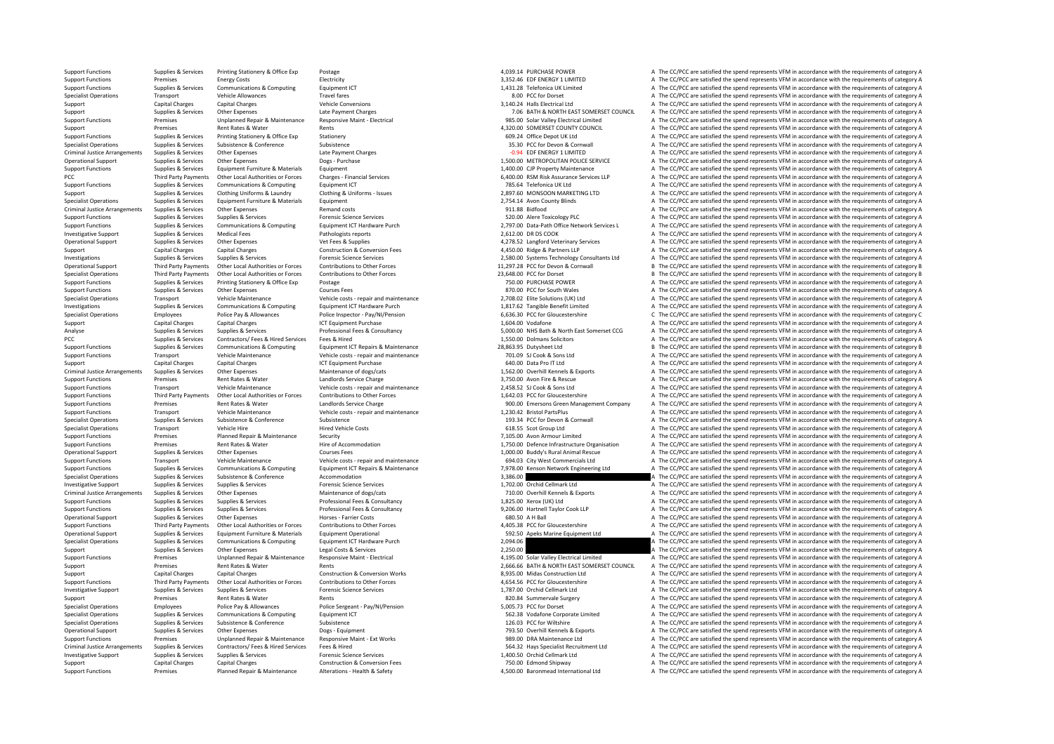Support Functions Premises Planned Repair & Maintenance Alterations - Health & Safety 4,500.00 Baronmead International Ltd A The CC/PCC are satisfied the spend represents VFM in accordance with the requirements of category

Support Functions Supplies & Services Printing Stationery & Office Exp Postage Protections Postage 4,039.14 PURCHASE POWER A The CC/PCC are satisfied the spend represents VFM in accordance with the requirements of category Premises Energy Costs Electricity Electricity Electricity and the Support of Contact and the CC/PCC are satisfied the spend represents VFM in accordance with the requirements of category A The CC/PCC are satisfied the spen Support Functions Support Communications & Computing Fauthment ICT 1,431.28 Telefonica UK Limited A The CC/PCC are satisfied the spend represents VFM in accordance with the requirements of category A Specialist Operations Transport Vehicle Allowances Travel fares Travel fares Travel fares Travel fares Travel fares and the comparations and the CC/PCC are satisfied the spend represents VFM in accordance with the requirem Support Capital Charges Capital Charges Support Capital Charges Vehicle Conversions Vehicle Conversions 3,140.24 Halls Electrical Ltd A The CC/PCC are satisfied the spend represents VFM in accordance with the requirements Support Supplies & Services Other Expenses Late Payment Charges Late Payment Charges 2000 COLL A The CC/PCC are satisfied the spend represents VFM in accordance with the requirements of category A Support Functions Fremises Unplanned Repair & Maintenance Responsive Maint - Electrical examples and the CONCE are satisfied the spend represents VFM in accordance with the requirements of category A<br>Support Premises Rent Support Premises Rent Rates & Water Rents Rents Rents and the spend of the COUNTY COUNCIL A The CC/PCC are satisfied the spend represents VFM in accordance with the requirements of category A Support Functions Supplies & Services Printing Stationery Stationery Stationery Stationery Stationery Stationery Stationery Stationery and the Services Conference of Stategory A The CC/PCC are satisfied the spend represent Specialist Operations Subsistence Subsistence Subsistence Subsistence Subsistence Subsistence Subsistence Subsistence Subsistence Subsistence Subsistence Subsistence Subsistence Subsistence Subsistence Subsistence Subsiste Criminal Justice Arrangements Supplies & Services Other Expenses Late Payment Charges Late Payment Charges Late Payment Charges Late Payment Charges Late Payment Charges Late Payment Charges Late Payment Charges Late Payme Operational Support Supplies & Services Other Expenses Dogs - Purchase Dogs + Purchase 1,500.00 METROPOLITAN POLICE SERVICE A The CC/PCC are satisfied the spend represents VFM in accordance with the requirements of categor Support Functions Supplies & Services Equipment Furniture & Materials Equipment Equipment 1,400.00 CJP Property Maintenance A The CC/PCC are satisfied the spend represents VFM in accordance with the requirements of categor Third Party Payments Other Local Authorities or Forces Charges - Einancial Services Charges - Einancial Services Charges - Einancial Services Charges - ELOCO RSM Risk Assurance Services LIP A The CC/PCC are satisfied the s Support Functions Supplies & Services Communications & Computing Equipment ICT Equipment ICT 785.64 Telefonica UK Ltd A The CC/PCC are satisfied the spend represents VFM in accordance with the requirements of category A Th Support Support Support Support Clothing Uniforms & Laundry Clothing & Uniforms - Issues 2,897.60 MONSOON MARKETING LTD A The CC/PCC are satisfied the spend represents VFM in accordance with the requirements of category A Specialist Operations Supplies & Services Equipment Furniture & Materials Equipment Equipment 2,754.14 Avon County Blinds A The CC/PCC are satisfied the spend represents VFM in accordance with the requirements of category Criminal Justice Arrangements Supplies Services Other Expenses Remand costs 91.88 Bidfood A The CC/PCC are satisfied the spend represents VFM in accordance with the requirements of category A The CC/PCC are satisfied the s Support Functions Support Functions Supplies Supplies Supplies Supplies A The CC/PCC are satisfied the spend represents VFM in accordance with the requirements of category A The Cripcordance with the requirements of catego Supplies & Services Communications & Computing Equipment ICT Hardware Purch 2.797.00 Data-Path Office Network Services A The CC/PCC are satisfied the spend represents VFM in accordance with the requirements of category A Investigative Support Support Support Support Supports Medical Fees Pathologists reports Pathologists reports 2,612.00 DR DS COOK A The CC/PCC are satisfied the spend represents VFM in accordance with the requirements of c Supplies A Services Other Expenses Vet Fees & Supplies and the Services A The CC/PCC are satisfied the spend represents VFM in accordance with the requirements of category A Support Capital Charges Capital Charges Capital Charges Construction & Conversion Fees and the spend and the conversion Fees and the CC/PCC are satisfied the spend represents VFM in accordance with the requirements of cate 1.1.297.28 PCC for Development Article and The COPCC are attified the spend represents VFM in accordance with the requirements of category A Supplies & Services Fore Services Fore the COPCC are stable to the COPCC are sati B The CC/PCC are satisfied the spend represents VFM in accordance with the requirements of category B Specialist Operations Third Party Payments Other Local Authorities or Forces Contributions to Other Forces Contributions to Other Forces and the content of category B and the CC/PCC are satisfied the spend represents VFM i Support Functions Supplies & Services Printing Stationery & Office Exp Postage Printing Stationery & Office Exp Postage 750.00 PURCHASE POWER 750.00 PURCHASE POWER A The CC/PCC are satisfied the spend represents VFM in acc Support Functions Supplies & Services Other Expenses Courses Fees Courses Fees a Courses Fees 870.00 PCC for South Wales A The CC/PCC are satisfied the spend represents VFM in accordance with the requirements of category A Specialist Operations Transport Vehicle Maintenance Vehicle costs - repair and maintenance Paintenance Paintenance<br>
Supplies & Services Communications & Computing Equipment ICT Hardware Purch 1917-1920 1927-08.02 Example B Investigations The CC/PCC are satisfied the spend represents VFM in accordance with the requirements of category A<br>
Specialist Operations Final operations Employees Police Pay & Allowances Police Inspector - Pay/NI/Pension Specialist Operations Employees Police Pay & Allowances Police Inspector - Pay/NI/Pension Police Inspector - Pay/NI/Pension C The CC/PCC are satisfied the spend represents VFM in accordance with the requirements of categor Support Capital Charges Capital Charges ICT Equipment Purchase 1,604.00 Vodafone A The CC/PCC are satisfied the spend represents VFM in accordance with the requirements of category A The CAPCC are satisfied the spend repre Sunnijes & Services Sunnijes & Services Sunnijes Services Professional Fees & Consultancy 5,000,00 NHS Bath & North Fast Somerset CCG & The CC/PCC are satisfied the spend represents VEM in accordance with the requirements PCC Supplies & Services Contractors/ Fees & Hired Services Fees & Hired 1,550.00 Dolmans Solicitors A The CC/PCC are satisfied the spend represents VFM in accordance with the requirements of category A Support Functions Supplies & Services Communications & Computing Equipment ICT Repairs & Maintenance entity and the case of the content of category B and the content of the CONCC are satisfied the spend represents VFM in a A The CC/PCC are satisfied the spend represents VFM in accordance with the requirements of category A Support Capital Charges Capital Charges Capital Charges Support Purchase ICT Equipment Purchase 640.00 Data Pro IT Ltd A The CC/PCC are satisfied the spend represents VFM in accordance with the requirements of category A T Criminal Justice Arrangements Supplies & Services Other Expenses Maintenance of dogs/cats Maintenance of dogs/cats Maintenance of dogs/cats and the correlation of the COPCC are satisfied the spend represents VFM in accorda A The CC/PCC are satisfied the spend represents VFM in accordance with the requirements of category A Support Functions Transport Vehicle Maintenance Vehicle costs ‐ repair and maintenance Vehicle costs • repair and maintenance 2,458.52 SJ Cook & Sons Ltd A The CC/PCC are satisfied the spend represents VFM in accordance wi Support Functions Turk of Permises Third Party Payments Other Local Authorities or Forces Contributions to Other Forces Contributions to Other Forces and the Support Functions and Conference of ATHE CC/PCC are satisfied th Premises Rent Rates & Water Mandlords Service Charge Charge States and the Support of the Support of the Support A The CC/PCC are satisfied the spend represents VFM in accordance with the requirements of category A Support Functions Transport Vehicle Maintenance Vehicle costs ‐ repair and maintenance Vehicle costs • repair and maintenance 1,230.42 Bristol PartsPlus A The CC/PCC are satisfied the spend represents VFM in accordance wit Specialist Operations Supplies & Services Subsistence Subsistence Subsistence Subsistence Subsistence Subsistence Subsistence Subsistence Subsistence Subsistence Subsistence Subsistence Subsistence Subsistence Subsistence Specialist Operations Transport Vehicle Hire Hired Vehicle Costs 618.55 Scot Group Ltd A The CC/PCC are satisfied the spend represents VFM in accordance with the requirements of category A Support Functions Premises Planned Repair & Maintenance Security Security Premises Security 7,105.00 Avon Armour Limited A The CC/PCC are satisfied the spend represents VFM in accordance with the requirements of category A Support Functions Premises Rent Rates & Water Hire of Accommodation 1,750.00 Defence Infrastructure Organisation A The CC/PCC are satisfied the spend represents VFM in accordance with the requirements of category A Operational Support Supplies & Services Other Expenses Courses Fees Courses Fees 1,000.00 Buddy's Rural Animal Rescue A The CC/PCC are satisfied the spend represents VFM in accordance with the requirements of category A Support Functions Transport Vehicle Maintenance Vehicle costs – repair and maintenance and the sequirements and maintenance of the CC/PCC are satisfied the spend represents VFM in accordance with the requirements of catego Communications & Computing Equipment ICT Repairs & Maintenance and the serves of the companism of the CC/PCC are satisfied the spend represents VFM in accordance with the requirements of category A<br>3,386.00 3,386.00 A Subs Specialist Operations Subsistence Subsistence Subsistence Accommodation accommodation accommodation accommodation accommodation 3,386.00 A The CC/PCC are satisfied the spend represents VFM in accordance with the requiremen Investigative Support Supplies & Services Supplies & Services Forensic Science Services Forensic Science Services Forensic Science Services and the control of Cellmark Ltd A The CC/PCC are satisfied the spend represents VF A The CC/PCC are satisfied the spend represents VFM in accordance with the requirements of category A Support Functions Supplies & Services Supplies & Services Professional Fees & Consultancy Professional Fees & Consultancy 1,825.00 Xerox (UK) Ltd A The CC/PCC are satisfied the spend represents VFM in accordance with the r Comparison of the Comparison of the Comparison of the Comparison of the Comparison of the Companison of the Companison of the Companison of the Companison of the Companison of the Companison of the Companison of the Compan Operational Support Supplies & Services Other Expenses Horses Farrier Costs and the service of category A The CC/PCC are satisfied the spend represents VFM in accordance with the requirements of category A Support Functions Third Party Payments Other Local Authorities or Forces Contributions to Other Forces Contributions Comment Content Conserved and the CONCOST CONCERTIFIES A The CC/PCC are satisfied the spend represents VF Operational Support Supplies & Services Equipment Furniture & Materials Equipment Operational Equipment Communications Equipment Communications of Communications (2014) and Support of Support of Support of Support of Suppo The CC/PCC are satisfied the spend represents VFM in accordance with the requirements of category A Support Support Supplies & Services Other Expenses Legal Costs & Services Costs Corrical Legal Costs & Services 2,250.00 A The CC/PCC are satisfied the spend represents VFM in accordance with the requirements of category A Support Functions Premises Unplanned Repair & Maintenance Responsive Maint - Electrical Entertional Accordance Maint Maintenance Responsive Maint - Electrical Accordance Maint Data and Accordance with the requirements of c Support Premises Rent Rates & Water Rents Rents Rents Rents Rents 2,666.66 BATH & NORTH EAST SOMERSET COUNCIL A The CC/PCC are satisfied the spend represents VFM in accordance with the requirements of category A Support Capital Charges Capital Charges Capital Charges Construction & Conversion Works 8,935.00 Midas Construction Ltd A The CC/PCC are satisfied the spend represents VFM in accordance with the requirements of category A Support Functions Third Party Payments Other Local Authorities or Forces Contributions to Other Forces Contributions to Other Forces and the SUALER AGS4.56 PCC for Gloucestershire and The CC/PCC are satisfied the spend rep Investigative Support Supplies & Services Supplies & Services Supplies & Services Forensic Science Services Forensic Science Services 1,787.00 Orchid Cellmark Ltd A The CC/PCC are satisfied the spend represents VFM in acco Support Premises Support Premises Rent Rates & Water Rents Rents Rents Rents Rents Rents Rents Rents Rents Rents Rents Rents Rents Rents Rents Rents Rents Rents Rents Rents Rents Rents Rents Rents Rents Rents Rents Rents R Specialist Operations Employees Police Pay & Allowances Police Sergeant - Pay/NI/Pension 5,005.73 PCC for Dorset A The CC/PCC are satisfied the spend represents VFM in accordance with the requirements of category A Specialist Operations Supplies & Services Communications & Computing Equipment ICT 562.38 Vodafone Corporate Limited A The CC/PCC are satisfied the spend represents VFM in accordance with the requirements of category A Specialist Operations Supplies & Services Subsistence Subsistence Subsistence Subsistence Subsistence Subsistence Subsistence Subsistence Subsistence Subsistence Subsistence Subsistence Subsistence In accordance of the CC/ A The CC/PCC are satisfied the spend represents VFM in accordance with the requirements of category A Support Functions Premises Unplanned Repair & Maintenance Responsive Maint - Ext Works 989.00 DRA Maintenance Ltd A The CC/PCC are satisfied the spend represents VFM in accordance with the requirements of category A Crimin Criminal Justice Arrangements Supplies & Services Contractors/Fees & Hired Services Fees & Hired Feester Hired<br>
1.400.50 Occhid Cellmark Ltd Arrangement Arrangements of category Arrangements of category Arrangements of cat Investigative Support Supplies & Services Supplies & Services Forensic Science Services 1,400.50 Orchid Cellmark Ltd <sup>A</sup> The CC/PCC are satisfied the spend represents VFM in accordance with the requirements of category A Support Capital Charges Capital Charges Construction & Conversion Fees 750.00 Edmond Shipway A The CC/PCC are satisfied the spend represents VFM in accordance with the requirements of category A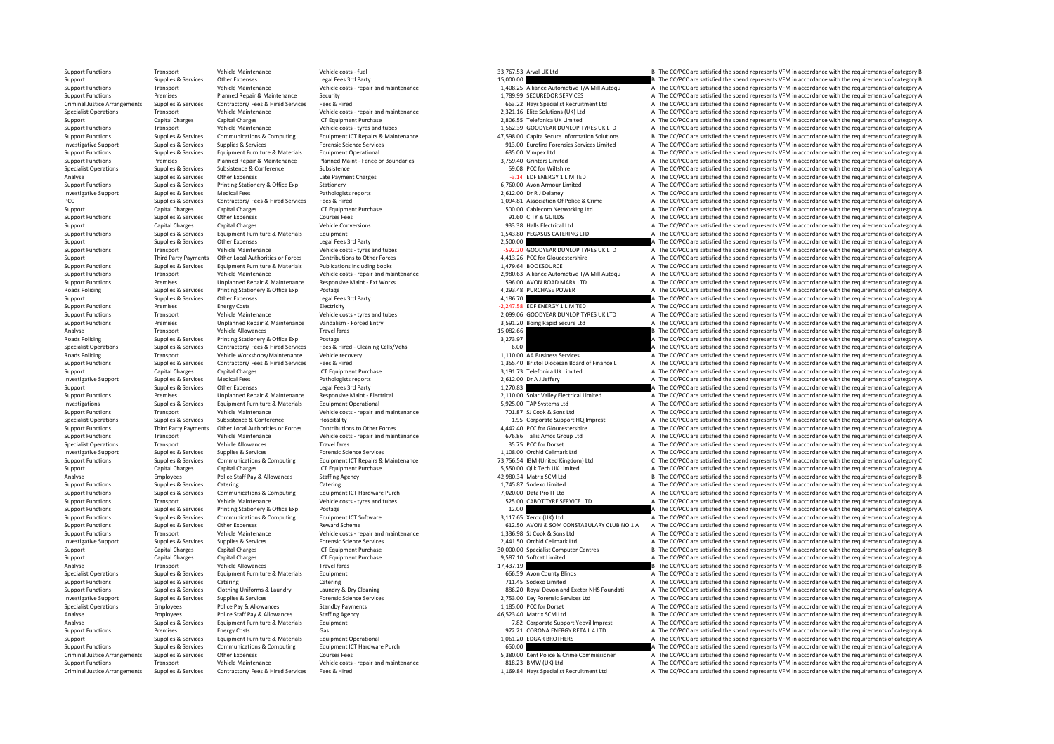Support Transport Vehicle Maintenance Vehicle costs – fuel vehicle costs – fuel and the spend of the spend represents VFM in accordance with the requirements of category B The COPC are satisfied the spend represents VFM in Support Support Support Support Support Support Support Support Support Support Support Support Support Support Support Support Support Support Support Support Support Support Support Support Support Support Support Suppor Transport Vehicle Maintenance Vehicle costs - repair and maintenance and the costs and maintenance of the CONCERT CONCERT ANNIH Autoque and The CONCC are satisfied the spend represents VFM in accordance with the requiremen Support Functions Premises Premises Planned Repair & Maintenance Security Security 1,789.99 SECUREDOR SERVICES A The CC/PCC are satisfied the spend represents VFM in accordance with the requirements of category A Criminal Criminal Justice Arrangements Supplies & Services Contractors/Fees & Hired Services Fees & Hired Services Fees & Hired Services Fees & Hired Pervices Fees & Hired Contractors Fees & Hired Contractors Fees & Hired Contracto Transport Vehicle Maintenance Vehicle costs - repair and maintenance Vehicle costs - repair and maintenance vehicle costs - repair and maintenance 2,321.16 Elite Solutions (UK) Ltd A The CC/PCC are satisfied the spend repr Support Capital Capital Charges Capital Charges ICT Equipment Purchase 2,806.55 Telefonica UK Limited A The CC/PCC are satisfied the spend represents VFM in accordance with the requirements of category A The CC/PCC are sat Transport Vehicle Maintenance Vehicle costs ‐ tyres and tubes 1,562.39 GOODYEAR DUNLOP TYRES UK LTD A The CC/PCC are satisfied the spend represents VFM in accordance with the requirements of category A Support Functions Supplies & Services Communications & Computing Equipment ICT Repairs & Maintenance and a 47,598.00 Capita Secure Information Solutions B The CC/PCC are satisfied the spend represents VFM in accordance wit investigative Summit in Summit Summit Summit Summit Summit Summit Summit Summit Summit Summit Summit Summit Summit Summit Summit Summit Summit Summit Summit Summit Summit Summit Summit Summit Summit Summit Summit Summit Su Support Functions Supplies & Services Equipment Furniture & Materials Equipment Operational 635.00 Vimpex Ltd A The CC/PCC are satisfied the spend represents VFM in accordance with the requirements of category A The CC/PC Support Functions Premises Planned Repair & Maintenance Planned Maint - Fence or Boundaries 3,759.40 Grinters Limited A The CC/PCC are satisfied the spend represents VFM in accordance with the requirements of category A Su Subsistence Bureau Conference Subsistence Supplies Subsistence Supplies Subsistence Subsistence Subsistence Subsistence Subsistence Subsistence Subsistence Subsistence Subsistence Subsistence Subsistence Subsistence A The Analyse Supplies & Services Other Expenses Late Payment Charges Late Payment Charges Late Payment Charges Late Payment Charges Carges and The CC/PCC are satisfied the spend represents VFM in accordance with the requirement Support Functions Supplies & Services Printing Stationery & Office Exp Stationery Stationery exactionery and the Stationery and the Stationery and the Stationery and the CC/PCC are satisfied the spend represents VFM in acc A The CC/PCC are satisfied the spend represents VFM in accordance with the requirements of category A PCC Supplies & Services Contractors/ Fees & Hired Services Fees & Hired 1,094.81 Association Of Police & Crime A The CC/PCC are satisfied the spend represents VFM in accordance with the requirements of category A Support Capital Charges Capital Charges Support Purchase Support Purchase Support Contents of category A The CC/PCC are satisfied the spend represents VFM in accordance with the requirements of category A The Criminal Char Support Functions Supplies A The CC/PCC are satisfied the spend represents VFM in accordance with the requirements of category A<br>A The CC/PCC are satisfied the spend represents VFM in accordance with the requirements of ca Support Capital Charges Capital Charges Vehicle Conversions vehicle Conversions vehicle Conversions 933.38 Halls Electrical Ltd A The CC/PCC are satisfied the spend represents VFM in accordance with the requirements of cat Support Functions Supplies & Services Equipment Functions Equipment Europe Equipment Europe Equipment 1,543.80 PEGASUS CATERING LTD A The CC/PCC are satisfied the spend represents VFM in accordance with the requirements of Support Support Support Other Expenses Legal Fees 3rd Party 2,500.00 2,500.00 A The CC/PCC are satisfied the spend represents VFM in accordance with the requirements of category A Support Functions Transport Vehicle Maintenance Vehicle costs – tyres and tubes – Space 1992.20 GOODYEAR DUNLOP TYRES UK LTD A The CC/PCC are satisfied the spend represents VFM in accordance with the requirements of catego Third Party Payments Other Local Authorities or Forces Contributions to Other Forces and the COLOGO MANUSE AND CONFERINTE AND A THE COPCC are satisfied the spend represents VFM in accordance with the requirements of catego Support Functions Supplies A The CC/PCC are satisfied the spend represents VFM in accordance with the requirements of category A Examport Transport Wehicle Maintenance Mehicle costs - repair and maintenance and the cost of the CONCOL ALTA Mail and the CONCOL ALTA ATHE CONCOLOGY CORRESS TRANSPORT TRANSPORT ON THE CONCOLOGY ATHE CONCORRESS THE CONCORR Support Functions Premises Unplanned Repair & Maintenance Responsive Maint ‐ Ext Works 596.00 AVON ROAD MARK LTD A The CC/PCC are satisfied the spend represents VFM in accordance with the requirements of category A Roads Policing Supplies & Services Printing Stationery & Office Exp Postage Printing Stationery & Office Exp Postage A The CCPCC are satisfied the spend represents VFM in accordance with the requirements of category A The Support Support Support Other Expenses Legal Fees 3rd Party 4,186.70 A The CC/PCC are satisfied the spend represents VFM in accordance with the requirements of category A Support Functions Premises Energy Costs Energy Costs Electricity Electricity Electricity Electricity energy and tubes and tubes and tubes and tubes and tubes and tubes and a constant and the constant and the requirements o Support Functions Transport Vehicle Maintenance Vehicle costs – tyres and tubes 2,099.06 GOODYEAR DUNLOP TYRES UK LTD A The CC/PCC are satisfied the spend represents VFM in accordance with the requirements of category A Su Support Functions Premises Unplanned Repair & Maintenance Vandalism ‐ Forced Entry 3,591.20 Boing Rapid Secure Ltd A The CC/PCC are satisfied the spend represents VFM in accordance with the requirements of category A Trave Analyse Transport Vehicle Allowances Travel fares Travel fares 15,082.66 B The CC/PCC are satisfied the spend represents VFM in accordance with the requirements of category B The Sunniles & Services Printip Stategory B Pro Roads Policing Supplies & Services Printing Stationery & Office Exp Postage 3,273.97 3,373.97 A The CC/PCC are satisfied the spend represents VFM in accordance with the requirements of category A Specialist Operations Supplies & Services Contractors/ Fees & Hired Services Fees & Hired - Cleaning Cells/Vehs 6.00 6.00 A The CC/PCC are satisfied the spend represents VFM in accordance with the requirements of category A The CC/PCC are satisfied the spend represents VFM in accordance with the requirements of category A Support Functions Supplies & Services Contractors/ Fees Alired Services Fees & Hired Pervices Fees & Hired Pervices Fees & Hired Pervices Capital Check Pervices Person and the Company of Tequipment Purchase and the Support Support Capital Charges Capital Charges Capital Charges Support Purchase ICT Equipment Purchase 3,191.73 Telefonica UK Limited A The CC/PCC are satisfied the spend represents VFM in accordance with the requirements of cate Investment Supplies A The CC/PCC are satisfied the spend represents VFM in accordance with the requirements of category A The CC/PCC are satisfied the spend represents VFM in accordance with the requirements of category A Support Support Supplies & Services Other Expenses Legal Fees 3rd Party Party 1,270.83 A The CC/PCC are satisfied the spend represents VFM in accordance with the requirements of category A Support Functions Premises Unplan Support Functions Support Premises Maintenance Responsive Maint-Electrical Maintenance Support Premises Unplanned Repair & Maintenance Responsive Maint-Electrical Maintenance 2,110.00 Solar Valley Electrical Limited A The Investigations Supplies & Services Equipment Furniture & Materials Equipment Operational Equipment Operational 5,925.00 TAP Systems Ltd A The CC/PCC are satisfied the spend represents VFM in accordance with the requirement Support Functions Transport Vehicle Maintenance Vehicle costs - repair and maintenance 701.87 SJ Cook & Sons Ltd A The CC/PCC are satisfied the spend represents VFM in accordance with the requirements of category A Specialist Operations Supplies & Services Subsistence Subsistence Hospitality Hospitality 1.95 Corporate Support HQ Imprest A The CC/PCC are satisfied the spend represents VFM in accordance with the requirements of categor Support Functions Turk of Third Party Payments Other Local Authorities or Forces Contributions to Other Forces<br>
Support Functions and Transport Transport Menicle Maintenance Menicle costs - repair and maintenance and the C Support Functions Transport Vehicle Maintenance Vehicle costs ‐ repair and maintenance Vehicle costs • repair and maintenance 676.86 Tallis Amos Group Ltd A The CC/PCC are satisfied the spend represents VFM in accordance w Specialist Operations Transport Vehicle Allowances Travel fares Travel fares and the specialist Operations of category A The CC/PCC are satisfied the spend represents VFM in accordance with the requirements of category A Investigative Support Support Support Support Support Services Forensic Science Services Forensic Science Services Forensic Science Services and the Services 1,108.00 Orchid Cellmark Ltd A The CC/PCC are satisfied the spen Support Functions Supplies & Services Communications & Computing Equipment ICT Repairs & Maintenance and the Maison of the COPCC are satisfied the spend represents VFM in accordance with the requirements of category C<br>Supp Support Capital Charges Capital Charges Capital Charges Capital Charges ICT Equipment Purchase Standing A The COPCC are satisfied the spend represents VFM in accordance with the requirements of category A Charges Standing Analyse Employees Police Staff Pay & Allowances Staffing Agency Staff Agency and the spend agency and the CC/PCC are satisfied the spend represents VFM in accordance with the requirements of category B Catering Category B Support Functions Supplies & Services Catering Catering Catering Catering Catering Catering Catering Catering Catering Catering Catering 1,745.87 Sodexo Limited A The CC/PCC are satisfied the spend represents VFM in accord Support Functions Support Functions A Supplies A The CC/PCC are satisfied the spend represents VFM in accordance with the requirements of category A,<br>STA The CC/PCC are satisfied the spend represents VFM in accordance with Support Functions Transport Vehicle Maintenance Vehicle costs - tyres and tubes 525.00 CABOT TYRE SERVICE LTD A The CC/PCC are satisfied the spend represents VFM in accordance with the requirements of category A The Crimin Support Functions Supplies & Services Printing Stationery & Office Exp Postage Printing Stationery and Postage Postage 12.00 12.00 12.00 A The CC/PCC are satisfied the spend represents VFM in accordance with the requiremen Support Functions Supplies & Services Communications & Computing Equipment ICT Software Equipment ICT Software 3,117.65 Xerox (UK) Ltd A The CC/PCC are satisfied the spend represents VFM in accordance with the requirements Support Functions Supplies & Services Other Expenses Material Support Expenses Reward Scheme 612.50 AVON & SOM CONSTABULARY CLUB NO 1 A The CC/PCC are satisfied the spend represents VFM in accordance with the requirements Support Functions Transport Vehicle Maintenance Vehicle costs ‐ repair and maintenance vehicle costs • repair and maintenance vehicle costs • repair and maintenance 1,336.98 SJ Cook & Sons Ltd A The CC/PCC are satisfied th Investigative Support Supplies & Services Supplies & Services Forensic Science Services 2,441.50 Orchid Cellmark Ltd <sup>A</sup> The CC/PCC are satisfied the spend represents VFM in accordance with the requirements of category A Support Capital Charges Capital Charges Capital Charges Support Purchase ICT Equipment Purchase Support Support Centres B The CC/PCC are satisfied the spend represents VFM in accordance with the requirements of category B Support Capital Charges Capital Charges Capital Charges ICT Equipment Purchase ICT Equipment Purchase 9,587.10 Softcat Limited A The CC/PCC are satisfied the spend represents VFM in accordance with the requirements of cate Analyse Transport Vehicle Allowances Travel fares Travel fares 17,437.19 and the CC/PCC are satisfied the spend represents VFM in accordance with the requirements of category B Specialist Operations Supplies & Services Equipment Furniture & Materials Equipment Equipment Equipment Equipment Equipment Equipment Category A The CC/PCC are satisfied the spend represents VFM in accordance with the requ Support Functions Support Functions Catering Catering Catering Catering Catering Catering Catering Catering Catering Catering The CC/PCC are satisfied the spend represents VFM in accordance with the requirements of categor oupplies & Services Clothing Uniforms & Laundry Laundry Laundry Coleraing and the state of the CONCOLOGIC AREA CONTENT ATTECC/PCC are satisfied the spend represents VFM in accordance with the requirements of category A rep Investigative Support Supplies & Services Supplies & Services Forensic Science Services Forensic Science Services Forensic Science Services 2,753.00 Key Forensic Services Ltd A The CC/PCC are satisfied the spend represents Specialist Operations Employees Police Pay & Allowances Standby Payments Standby Payments 1,185.00 PCC for Dorset A The CC/PCC are satisfied the spend represents VFM in accordance with the requirements of category A Analyse Employees Police Staff Pay & Allowances Staffing Agency 30 Staffing Agency 30 Analyse AG523.40 Matrix SCM Ltd B The CC/PCC are satisfied the spend represents VFM in accordance with the requirements of category B Analyse Supplies & Services Equipment Furniture & Materials Equipment Equipment Equipment Equipment Pure and the Support Yeovil Imprest A The CC/PCC are satisfied the spend represents VFM in accordance with the requirement Energy Costs Gas Gas Gas Gas Gas 972.21 CORONA ENERGY RETAIL 4 LTD A The CC/PCC are satisfied the spend represents VFM in accordance with the requirements of category A The Support Concerns Concerns Concerns and Concerns C Support Supplies & Services Equipment Furniture & Materials Equipment Operational Equipment Operational 1,061.20 EDGAR BROTHERS A The CC/PCC are satisfied the spend represents VFM in accordance with the requirements of cat Support Functions Supplies & Services Communications & Computing Equipment ICT Hardware Purch examples and the SCOLO COMPUTER COMMING COMPUTER COMPUTER COMPUTER COMPUTER COMPUTER COMPUTER COMPUTER COMPUTER COMPUTER COMPUTE A The CC/PCC are satisfied the spend represents VFM in accordance with the requirements of category A Support Functions Transport Vehicle Maintenance Vehicle costs - repair and maintenance Vehicle costs - repair and maintenance and a The CC/PCC are satisfied the spend represents VFM in accordance with the requirements of c Criminal Justice Arrangements Supplies & Services Contractors/ Fees & Hired Services Fees & Hired Services Fees & Hired Services Fees & Hired Materia has Specialist Recruitment Ltd A The CC/PCC are satisfied the spend repr